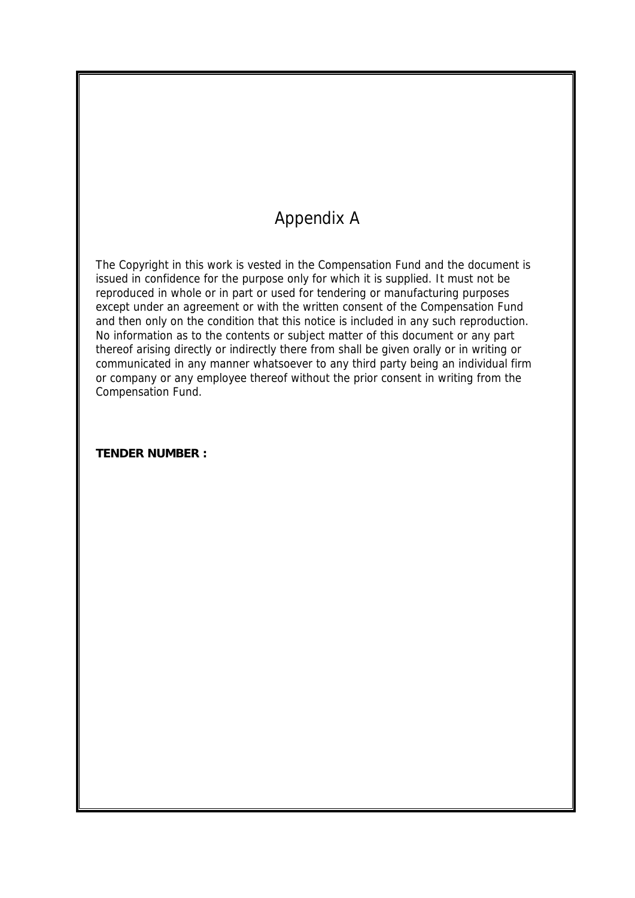# Appendix A

The Copyright in this work is vested in the Compensation Fund and the document is issued in confidence for the purpose only for which it is supplied. It must not be reproduced in whole or in part or used for tendering or manufacturing purposes except under an agreement or with the written consent of the Compensation Fund and then only on the condition that this notice is included in any such reproduction. No information as to the contents or subject matter of this document or any part thereof arising directly or indirectly there from shall be given orally or in writing or communicated in any manner whatsoever to any third party being an individual firm or company or any employee thereof without the prior consent in writing from the Compensation Fund.

**TENDER NUMBER :**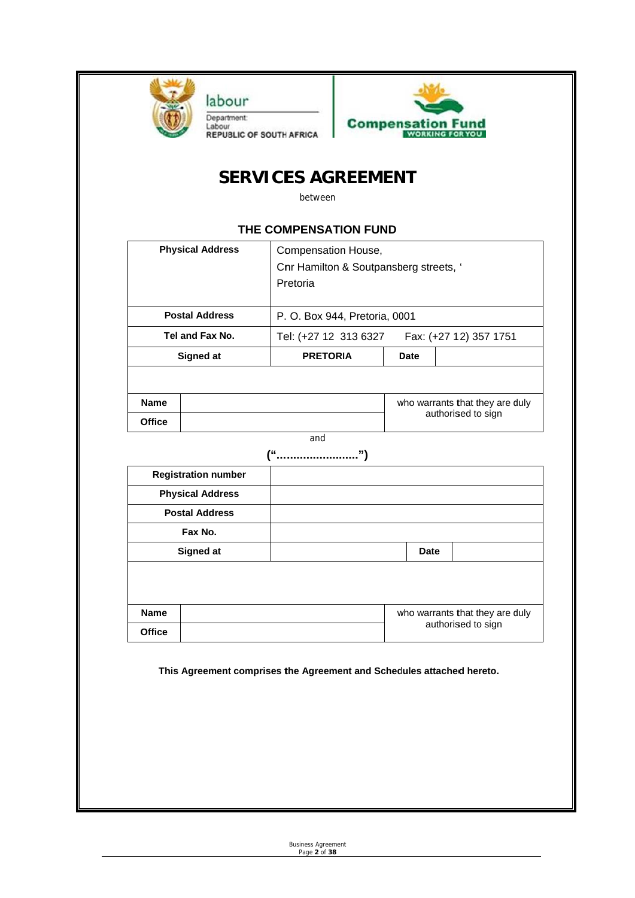

**Compensation Fund** 

# **SERVICES AGREEMENT**

between

#### **THE COMPENSATION FUND**

| <b>Physical Address</b> |  | Compensation House,<br>Cnr Hamilton & Soutpansberg streets, '<br>Pretoria |                                 |  |
|-------------------------|--|---------------------------------------------------------------------------|---------------------------------|--|
| <b>Postal Address</b>   |  | P. O. Box 944, Pretoria, 0001                                             |                                 |  |
| Tel and Fax No.         |  | Tel: (+27 12 313 6327<br>Fax: (+27 12) 357 1751                           |                                 |  |
| Signed at               |  | <b>PRETORIA</b>                                                           | Date                            |  |
|                         |  |                                                                           |                                 |  |
| <b>Name</b>             |  |                                                                           | who warrants that they are duly |  |
| <b>Office</b>           |  |                                                                           | authorised to sign              |  |

and

| Date                            |  |
|---------------------------------|--|
|                                 |  |
| who warrants that they are duly |  |
| authorised to sign              |  |
|                                 |  |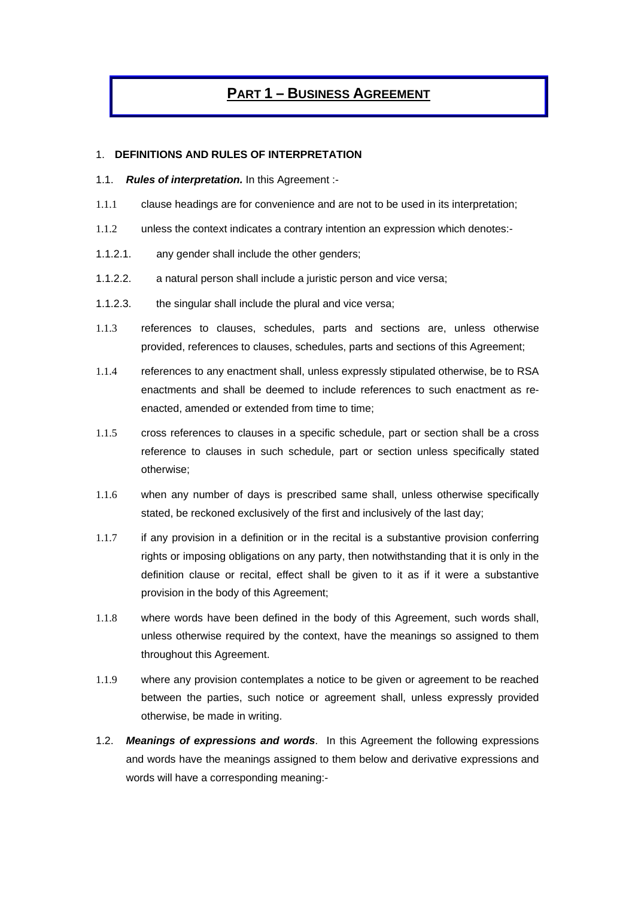## **PART 1 – BUSINESS AGREEMENT**

#### 1. **DEFINITIONS AND RULES OF INTERPRETATION**

- 1.1. *Rules of interpretation.* In this Agreement :-
- 1.1.1 clause headings are for convenience and are not to be used in its interpretation;
- 1.1.2 unless the context indicates a contrary intention an expression which denotes:-
- 1.1.2.1. any gender shall include the other genders;
- 1.1.2.2. a natural person shall include a juristic person and vice versa;
- 1.1.2.3. the singular shall include the plural and vice versa;
- 1.1.3 references to clauses, schedules, parts and sections are, unless otherwise provided, references to clauses, schedules, parts and sections of this Agreement;
- 1.1.4 references to any enactment shall, unless expressly stipulated otherwise, be to RSA enactments and shall be deemed to include references to such enactment as reenacted, amended or extended from time to time;
- 1.1.5 cross references to clauses in a specific schedule, part or section shall be a cross reference to clauses in such schedule, part or section unless specifically stated otherwise;
- 1.1.6 when any number of days is prescribed same shall, unless otherwise specifically stated, be reckoned exclusively of the first and inclusively of the last day;
- 1.1.7 if any provision in a definition or in the recital is a substantive provision conferring rights or imposing obligations on any party, then notwithstanding that it is only in the definition clause or recital, effect shall be given to it as if it were a substantive provision in the body of this Agreement;
- 1.1.8 where words have been defined in the body of this Agreement, such words shall, unless otherwise required by the context, have the meanings so assigned to them throughout this Agreement.
- 1.1.9 where any provision contemplates a notice to be given or agreement to be reached between the parties, such notice or agreement shall, unless expressly provided otherwise, be made in writing.
- 1.2. *Meanings of expressions and words*. In this Agreement the following expressions and words have the meanings assigned to them below and derivative expressions and words will have a corresponding meaning:-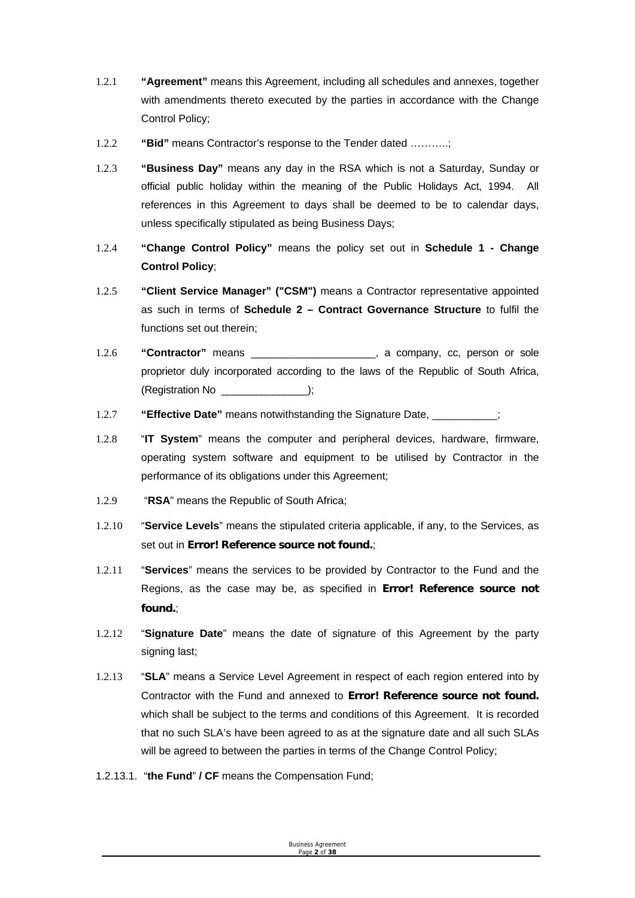- 1.2.1 **"Agreement"** means this Agreement, including all schedules and annexes, together with amendments thereto executed by the parties in accordance with the Change Control Policy;
- 1.2.2 **"Bid"** means Contractor's response to the Tender dated ………..;
- 1.2.3 **"Business Day"** means any day in the RSA which is not a Saturday, Sunday or official public holiday within the meaning of the Public Holidays Act, 1994. All references in this Agreement to days shall be deemed to be to calendar days, unless specifically stipulated as being Business Days;
- 1.2.4 **"Change Control Policy"** means the policy set out in **Schedule 1 Change Control Policy**;
- 1.2.5 **"Client Service Manager" ("CSM")** means a Contractor representative appointed as such in terms of **Schedule 2 – Contract Governance Structure** to fulfil the functions set out therein;
- 1.2.6 **"Contractor"** means \_\_\_\_\_\_\_\_\_\_\_\_\_\_\_\_\_\_\_\_\_, a company, cc, person or sole proprietor duly incorporated according to the laws of the Republic of South Africa, (Registration No \_\_\_\_\_\_\_\_\_\_\_\_\_\_\_);
- 1.2.7 **"Effective Date"** means notwithstanding the Signature Date, \_\_\_\_\_\_\_\_\_\_\_;
- 1.2.8 "**IT System**" means the computer and peripheral devices, hardware, firmware, operating system software and equipment to be utilised by Contractor in the performance of its obligations under this Agreement;
- 1.2.9 "**RSA**" means the Republic of South Africa;
- 1.2.10 "**Service Levels**" means the stipulated criteria applicable, if any, to the Services, as set out in **Error! Reference source not found.**;
- 1.2.11 "**Services**" means the services to be provided by Contractor to the Fund and the Regions, as the case may be, as specified in **Error! Reference source not found.**;
- 1.2.12 "**Signature Date**" means the date of signature of this Agreement by the party signing last;
- 1.2.13 "**SLA**" means a Service Level Agreement in respect of each region entered into by Contractor with the Fund and annexed to **Error! Reference source not found.** which shall be subject to the terms and conditions of this Agreement. It is recorded that no such SLA's have been agreed to as at the signature date and all such SLAs will be agreed to between the parties in terms of the Change Control Policy;
- 1.2.13.1. "**the Fund**" **/ CF** means the Compensation Fund;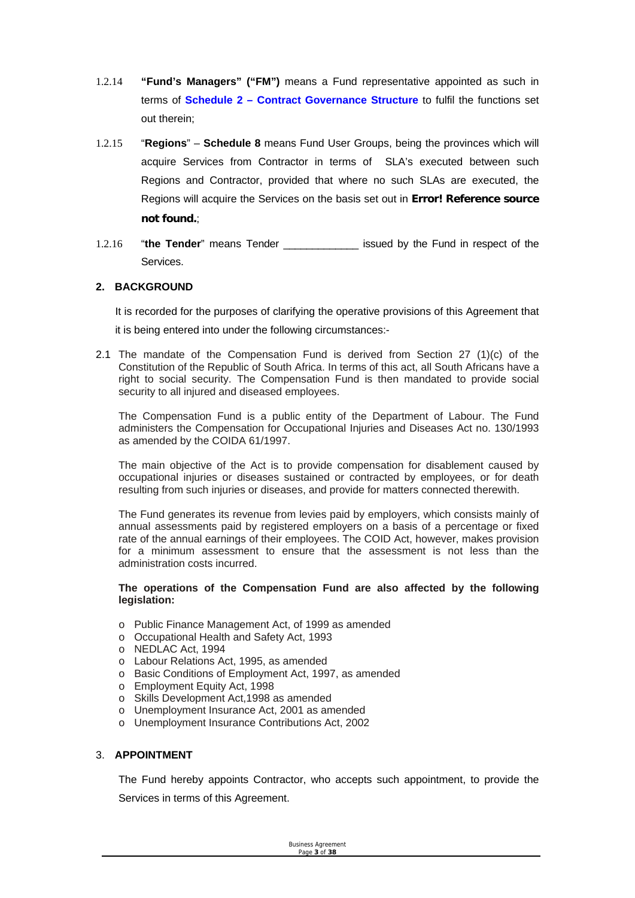- 1.2.14 **"Fund's Managers" ("FM")** means a Fund representative appointed as such in terms of **Schedule 2 – Contract Governance Structure** to fulfil the functions set out therein;
- 1.2.15 "**Regions**" **Schedule 8** means Fund User Groups, being the provinces which will acquire Services from Contractor in terms of SLA's executed between such Regions and Contractor, provided that where no such SLAs are executed, the Regions will acquire the Services on the basis set out in **Error! Reference source not found.**;
- 1.2.16 "the Tender" means Tender **constant of the State and Fund in respect of the** Services.

#### **2. BACKGROUND**

It is recorded for the purposes of clarifying the operative provisions of this Agreement that it is being entered into under the following circumstances:-

2.1 The mandate of the Compensation Fund is derived from Section 27 (1)(c) of the Constitution of the Republic of South Africa. In terms of this act, all South Africans have a right to social security. The Compensation Fund is then mandated to provide social security to all injured and diseased employees.

The Compensation Fund is a public entity of the Department of Labour. The Fund administers the Compensation for Occupational Injuries and Diseases Act no. 130/1993 as amended by the COIDA 61/1997.

The main objective of the Act is to provide compensation for disablement caused by occupational injuries or diseases sustained or contracted by employees, or for death resulting from such injuries or diseases, and provide for matters connected therewith.

The Fund generates its revenue from levies paid by employers, which consists mainly of annual assessments paid by registered employers on a basis of a percentage or fixed rate of the annual earnings of their employees. The COID Act, however, makes provision for a minimum assessment to ensure that the assessment is not less than the administration costs incurred.

#### **The operations of the Compensation Fund are also affected by the following legislation:**

- o Public Finance Management Act, of 1999 as amended
- o Occupational Health and Safety Act, 1993
- o NEDLAC Act, 1994
- o Labour Relations Act, 1995, as amended
- o Basic Conditions of Employment Act, 1997, as amended
- o Employment Equity Act, 1998
- o Skills Development Act,1998 as amended
- o Unemployment Insurance Act, 2001 as amended
- o Unemployment Insurance Contributions Act, 2002

#### 3. **APPOINTMENT**

The Fund hereby appoints Contractor, who accepts such appointment, to provide the Services in terms of this Agreement.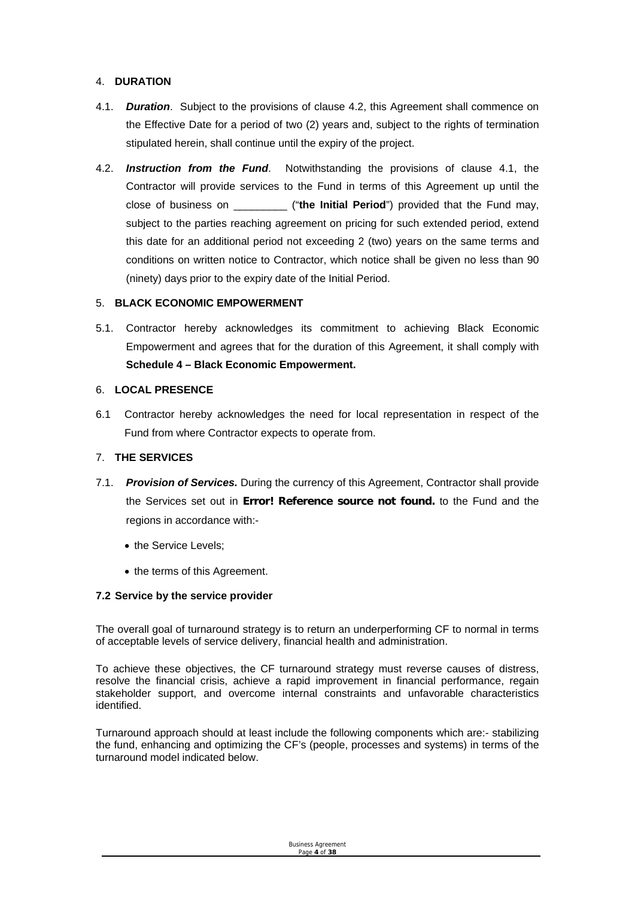#### 4. **DURATION**

- 4.1. *Duration*. Subject to the provisions of clause 4.2, this Agreement shall commence on the Effective Date for a period of two (2) years and, subject to the rights of termination stipulated herein, shall continue until the expiry of the project.
- 4.2. *Instruction from the Fund*. Notwithstanding the provisions of clause 4.1, the Contractor will provide services to the Fund in terms of this Agreement up until the close of business on \_\_\_\_\_\_\_\_\_ ("**the Initial Period**") provided that the Fund may, subject to the parties reaching agreement on pricing for such extended period, extend this date for an additional period not exceeding 2 (two) years on the same terms and conditions on written notice to Contractor, which notice shall be given no less than 90 (ninety) days prior to the expiry date of the Initial Period.

#### 5. **BLACK ECONOMIC EMPOWERMENT**

5.1. Contractor hereby acknowledges its commitment to achieving Black Economic Empowerment and agrees that for the duration of this Agreement, it shall comply with **Schedule 4 – Black Economic Empowerment.** 

#### 6. **LOCAL PRESENCE**

6.1 Contractor hereby acknowledges the need for local representation in respect of the Fund from where Contractor expects to operate from.

#### 7. **THE SERVICES**

- 7.1. *Provision of Services.* During the currency of this Agreement, Contractor shall provide the Services set out in **Error! Reference source not found.** to the Fund and the regions in accordance with:-
	- the Service Levels:
	- the terms of this Agreement.

#### **7.2 Service by the service provider**

The overall goal of turnaround strategy is to return an underperforming CF to normal in terms of acceptable levels of service delivery, financial health and administration.

To achieve these objectives, the CF turnaround strategy must reverse causes of distress, resolve the financial crisis, achieve a rapid improvement in financial performance, regain stakeholder support, and overcome internal constraints and unfavorable characteristics identified.

Turnaround approach should at least include the following components which are:- stabilizing the fund, enhancing and optimizing the CF's (people, processes and systems) in terms of the turnaround model indicated below.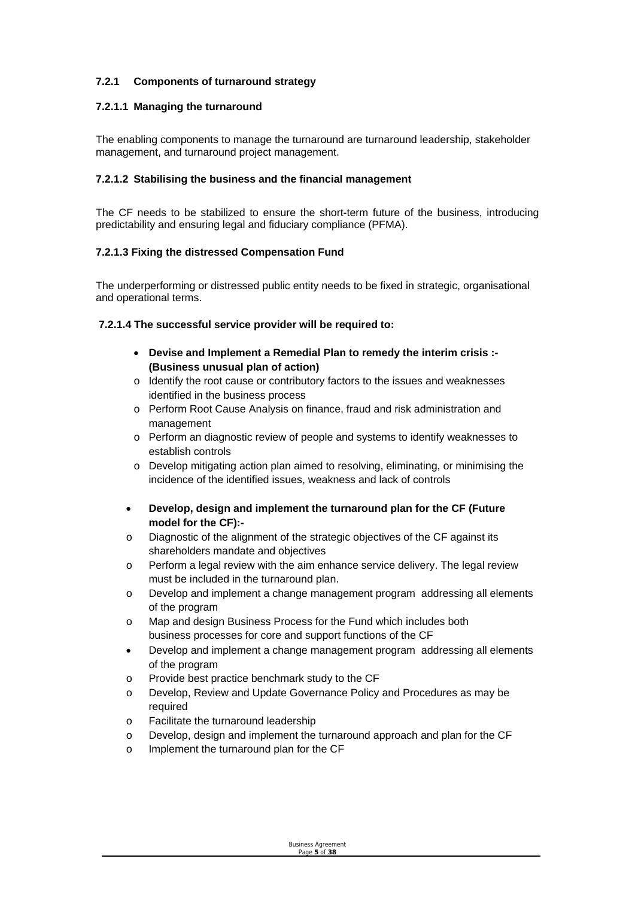#### **7.2.1 Components of turnaround strategy**

#### **7.2.1.1 Managing the turnaround**

The enabling components to manage the turnaround are turnaround leadership, stakeholder management, and turnaround project management.

#### **7.2.1.2 Stabilising the business and the financial management**

The CF needs to be stabilized to ensure the short-term future of the business, introducing predictability and ensuring legal and fiduciary compliance (PFMA).

#### **7.2.1.3 Fixing the distressed Compensation Fund**

The underperforming or distressed public entity needs to be fixed in strategic, organisational and operational terms.

#### **7.2.1.4 The successful service provider will be required to:**

- **Devise and Implement a Remedial Plan to remedy the interim crisis :- (Business unusual plan of action)**
- o Identify the root cause or contributory factors to the issues and weaknesses identified in the business process
- o Perform Root Cause Analysis on finance, fraud and risk administration and management
- o Perform an diagnostic review of people and systems to identify weaknesses to establish controls
- o Develop mitigating action plan aimed to resolving, eliminating, or minimising the incidence of the identified issues, weakness and lack of controls
- **Develop, design and implement the turnaround plan for the CF (Future model for the CF):-**
- o Diagnostic of the alignment of the strategic objectives of the CF against its shareholders mandate and objectives
- o Perform a legal review with the aim enhance service delivery. The legal review must be included in the turnaround plan.
- o Develop and implement a change management program addressing all elements of the program
- o Map and design Business Process for the Fund which includes both business processes for core and support functions of the CF
- Develop and implement a change management program addressing all elements of the program
- o Provide best practice benchmark study to the CF
- o Develop, Review and Update Governance Policy and Procedures as may be required
- o Facilitate the turnaround leadership
- o Develop, design and implement the turnaround approach and plan for the CF
- o Implement the turnaround plan for the CF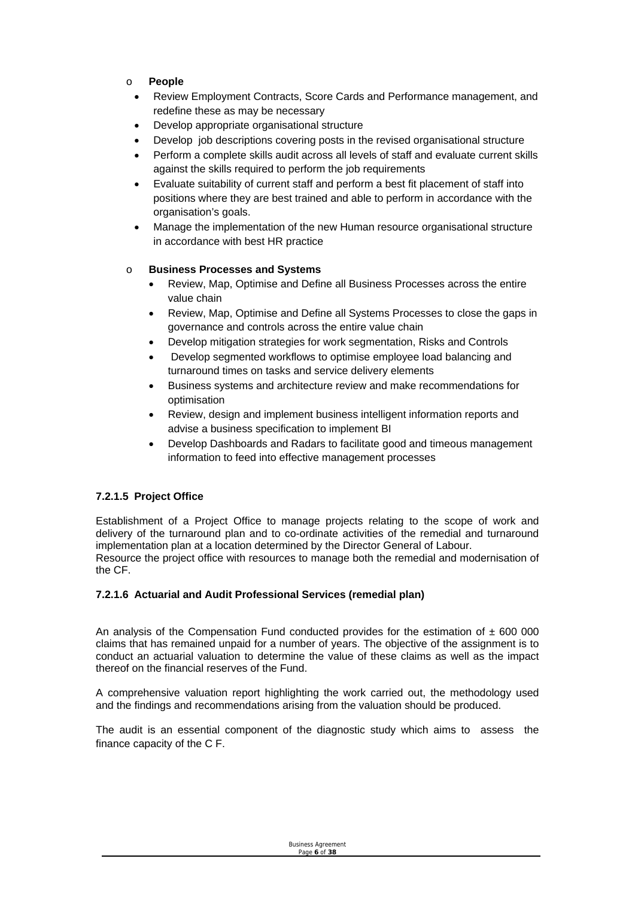- o **People**
	- Review Employment Contracts, Score Cards and Performance management, and redefine these as may be necessary
	- Develop appropriate organisational structure
	- Develop job descriptions covering posts in the revised organisational structure
	- Perform a complete skills audit across all levels of staff and evaluate current skills against the skills required to perform the job requirements
	- Evaluate suitability of current staff and perform a best fit placement of staff into positions where they are best trained and able to perform in accordance with the organisation's goals.
	- Manage the implementation of the new Human resource organisational structure in accordance with best HR practice

#### o **Business Processes and Systems**

- Review, Map, Optimise and Define all Business Processes across the entire value chain
- Review, Map, Optimise and Define all Systems Processes to close the gaps in governance and controls across the entire value chain
- Develop mitigation strategies for work segmentation, Risks and Controls
- Develop segmented workflows to optimise employee load balancing and turnaround times on tasks and service delivery elements
- Business systems and architecture review and make recommendations for optimisation
- Review, design and implement business intelligent information reports and advise a business specification to implement BI
- Develop Dashboards and Radars to facilitate good and timeous management information to feed into effective management processes

#### **7.2.1.5 Project Office**

Establishment of a Project Office to manage projects relating to the scope of work and delivery of the turnaround plan and to co-ordinate activities of the remedial and turnaround implementation plan at a location determined by the Director General of Labour. Resource the project office with resources to manage both the remedial and modernisation of the CF.

#### **7.2.1.6 Actuarial and Audit Professional Services (remedial plan)**

An analysis of the Compensation Fund conducted provides for the estimation of  $\pm$  600 000 claims that has remained unpaid for a number of years. The objective of the assignment is to conduct an actuarial valuation to determine the value of these claims as well as the impact thereof on the financial reserves of the Fund.

A comprehensive valuation report highlighting the work carried out, the methodology used and the findings and recommendations arising from the valuation should be produced.

The audit is an essential component of the diagnostic study which aims to assess the finance capacity of the C F.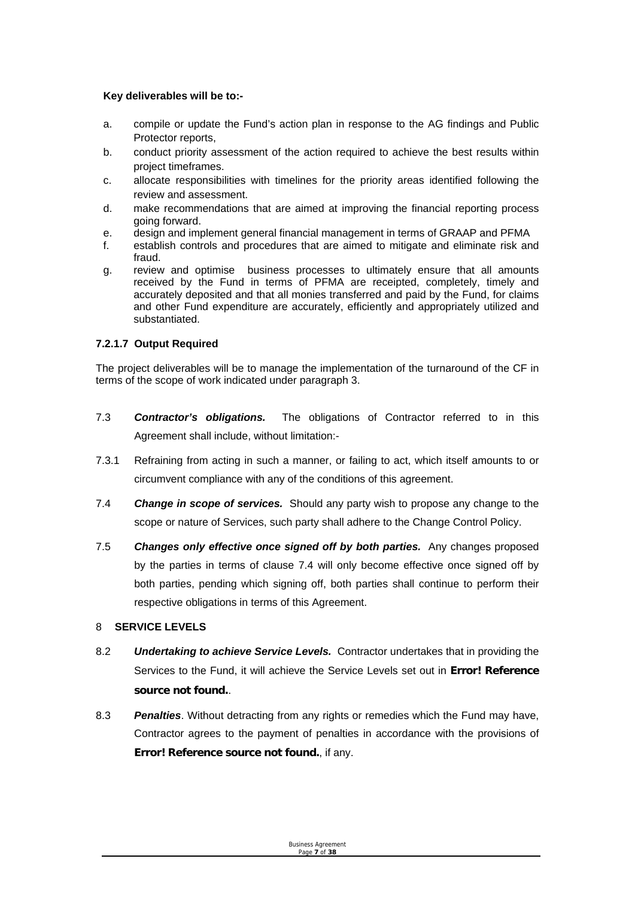#### **Key deliverables will be to:-**

- a. compile or update the Fund's action plan in response to the AG findings and Public Protector reports,
- b. conduct priority assessment of the action required to achieve the best results within project timeframes.
- c. allocate responsibilities with timelines for the priority areas identified following the review and assessment.
- d. make recommendations that are aimed at improving the financial reporting process going forward.
- e. design and implement general financial management in terms of GRAAP and PFMA
- f. establish controls and procedures that are aimed to mitigate and eliminate risk and fraud.
- g. review and optimise business processes to ultimately ensure that all amounts received by the Fund in terms of PFMA are receipted, completely, timely and accurately deposited and that all monies transferred and paid by the Fund, for claims and other Fund expenditure are accurately, efficiently and appropriately utilized and substantiated.

#### **7.2.1.7 Output Required**

The project deliverables will be to manage the implementation of the turnaround of the CF in terms of the scope of work indicated under paragraph 3.

- 7.3 *Contractor's obligations.* The obligations of Contractor referred to in this Agreement shall include, without limitation:-
- 7.3.1 Refraining from acting in such a manner, or failing to act, which itself amounts to or circumvent compliance with any of the conditions of this agreement.
- 7.4 *Change in scope of services.* Should any party wish to propose any change to the scope or nature of Services, such party shall adhere to the Change Control Policy.
- 7.5 *Changes only effective once signed off by both parties.* Any changes proposed by the parties in terms of clause 7.4 will only become effective once signed off by both parties, pending which signing off, both parties shall continue to perform their respective obligations in terms of this Agreement.

#### 8 **SERVICE LEVELS**

- 8.2 *Undertaking to achieve Service Levels.* Contractor undertakes that in providing the Services to the Fund, it will achieve the Service Levels set out in **Error! Reference source not found.**.
- 8.3 *Penalties*. Without detracting from any rights or remedies which the Fund may have, Contractor agrees to the payment of penalties in accordance with the provisions of **Error! Reference source not found.**, if any.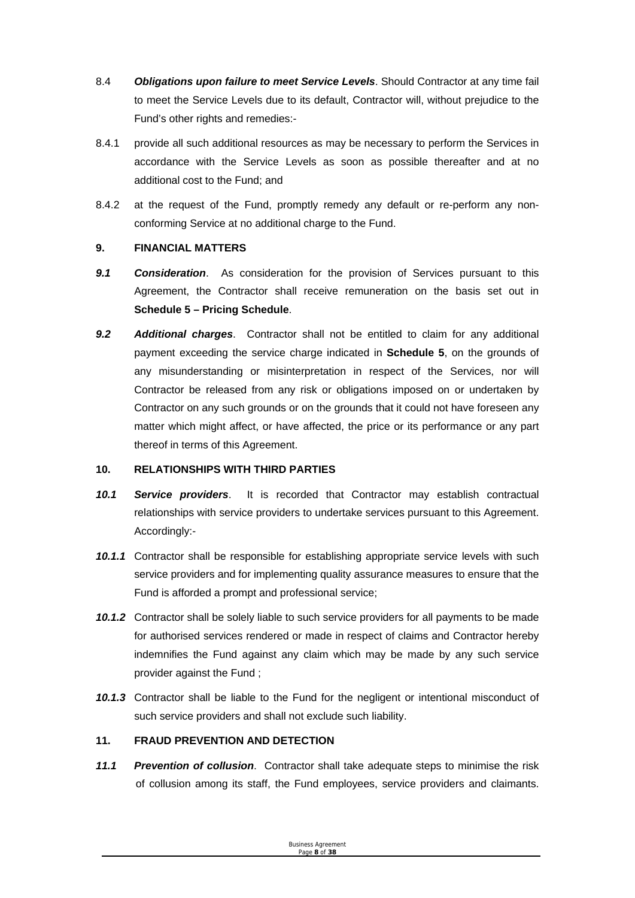- 8.4 *Obligations upon failure to meet Service Levels*. Should Contractor at any time fail to meet the Service Levels due to its default, Contractor will, without prejudice to the Fund's other rights and remedies:-
- 8.4.1 provide all such additional resources as may be necessary to perform the Services in accordance with the Service Levels as soon as possible thereafter and at no additional cost to the Fund; and
- 8.4.2 at the request of the Fund, promptly remedy any default or re-perform any nonconforming Service at no additional charge to the Fund.

#### **9. FINANCIAL MATTERS**

- *9.1 Consideration*. As consideration for the provision of Services pursuant to this Agreement, the Contractor shall receive remuneration on the basis set out in **Schedule 5 – Pricing Schedule**.
- *9.2 Additional charges*. Contractor shall not be entitled to claim for any additional payment exceeding the service charge indicated in **Schedule 5**, on the grounds of any misunderstanding or misinterpretation in respect of the Services, nor will Contractor be released from any risk or obligations imposed on or undertaken by Contractor on any such grounds or on the grounds that it could not have foreseen any matter which might affect, or have affected, the price or its performance or any part thereof in terms of this Agreement.

#### **10. RELATIONSHIPS WITH THIRD PARTIES**

- *10.1 Service providers*. It is recorded that Contractor may establish contractual relationships with service providers to undertake services pursuant to this Agreement. Accordingly:-
- *10.1.1* Contractor shall be responsible for establishing appropriate service levels with such service providers and for implementing quality assurance measures to ensure that the Fund is afforded a prompt and professional service;
- *10.1.2* Contractor shall be solely liable to such service providers for all payments to be made for authorised services rendered or made in respect of claims and Contractor hereby indemnifies the Fund against any claim which may be made by any such service provider against the Fund ;
- *10.1.3* Contractor shall be liable to the Fund for the negligent or intentional misconduct of such service providers and shall not exclude such liability.

#### **11. FRAUD PREVENTION AND DETECTION**

*11.1 Prevention of collusion*. Contractor shall take adequate steps to minimise the risk of collusion among its staff, the Fund employees, service providers and claimants.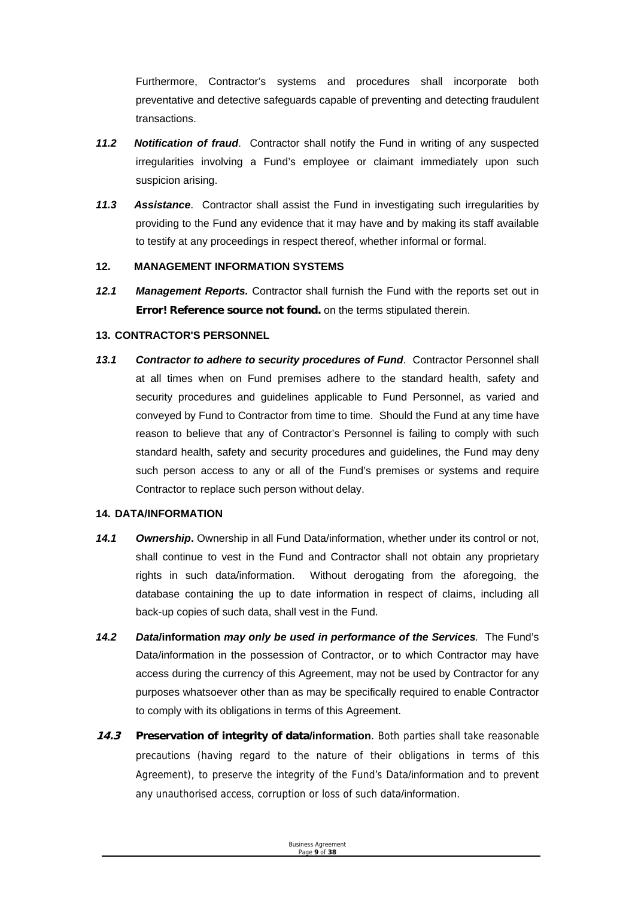Furthermore, Contractor's systems and procedures shall incorporate both preventative and detective safeguards capable of preventing and detecting fraudulent transactions.

- *11.2 Notification of fraud*. Contractor shall notify the Fund in writing of any suspected irregularities involving a Fund's employee or claimant immediately upon such suspicion arising.
- *11.3 Assistance*. Contractor shall assist the Fund in investigating such irregularities by providing to the Fund any evidence that it may have and by making its staff available to testify at any proceedings in respect thereof, whether informal or formal.

#### **12. MANAGEMENT INFORMATION SYSTEMS**

*12.1 Management Reports.* Contractor shall furnish the Fund with the reports set out in **Error! Reference source not found.** on the terms stipulated therein.

#### **13. CONTRACTOR'S PERSONNEL**

*13.1 Contractor to adhere to security procedures of Fund*. Contractor Personnel shall at all times when on Fund premises adhere to the standard health, safety and security procedures and guidelines applicable to Fund Personnel, as varied and conveyed by Fund to Contractor from time to time. Should the Fund at any time have reason to believe that any of Contractor's Personnel is failing to comply with such standard health, safety and security procedures and guidelines, the Fund may deny such person access to any or all of the Fund's premises or systems and require Contractor to replace such person without delay.

#### **14. DATA/INFORMATION**

- *14.1 Ownership***.** Ownership in all Fund Data/information, whether under its control or not, shall continue to vest in the Fund and Contractor shall not obtain any proprietary rights in such data/information. Without derogating from the aforegoing, the database containing the up to date information in respect of claims, including all back-up copies of such data, shall vest in the Fund.
- *14.2 Data***/information** *may only be used in performance of the Services.* The Fund's Data/information in the possession of Contractor, or to which Contractor may have access during the currency of this Agreement, may not be used by Contractor for any purposes whatsoever other than as may be specifically required to enable Contractor to comply with its obligations in terms of this Agreement.
- **14.3 Preservation of integrity of data/information**. Both parties shall take reasonable precautions (having regard to the nature of their obligations in terms of this Agreement), to preserve the integrity of the Fund's Data/information and to prevent any unauthorised access, corruption or loss of such data/information.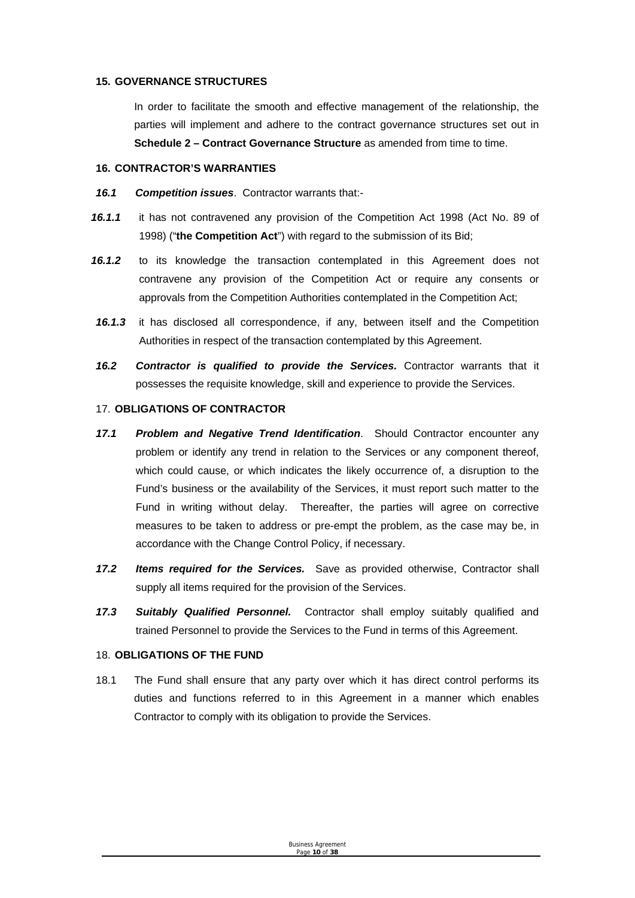#### **15. GOVERNANCE STRUCTURES**

In order to facilitate the smooth and effective management of the relationship, the parties will implement and adhere to the contract governance structures set out in **Schedule 2 – Contract Governance Structure** as amended from time to time.

#### **16. CONTRACTOR'S WARRANTIES**

- *16.1 Competition issues*. Contractor warrants that:-
- *16.1.1* it has not contravened any provision of the Competition Act 1998 (Act No. 89 of 1998) ("**the Competition Act**") with regard to the submission of its Bid;
- *16.1.2* to its knowledge the transaction contemplated in this Agreement does not contravene any provision of the Competition Act or require any consents or approvals from the Competition Authorities contemplated in the Competition Act;
- *16.1.3* it has disclosed all correspondence, if any, between itself and the Competition Authorities in respect of the transaction contemplated by this Agreement.
- *16.2 Contractor is qualified to provide the Services.* Contractor warrants that it possesses the requisite knowledge, skill and experience to provide the Services.

#### 17. **OBLIGATIONS OF CONTRACTOR**

- *17.1 Problem and Negative Trend Identification*. Should Contractor encounter any problem or identify any trend in relation to the Services or any component thereof, which could cause, or which indicates the likely occurrence of, a disruption to the Fund's business or the availability of the Services, it must report such matter to the Fund in writing without delay. Thereafter, the parties will agree on corrective measures to be taken to address or pre-empt the problem, as the case may be, in accordance with the Change Control Policy, if necessary.
- *17.2 Items required for the Services.* Save as provided otherwise, Contractor shall supply all items required for the provision of the Services.
- *17.3 Suitably Qualified Personnel.* Contractor shall employ suitably qualified and trained Personnel to provide the Services to the Fund in terms of this Agreement.

#### 18. **OBLIGATIONS OF THE FUND**

18.1 The Fund shall ensure that any party over which it has direct control performs its duties and functions referred to in this Agreement in a manner which enables Contractor to comply with its obligation to provide the Services.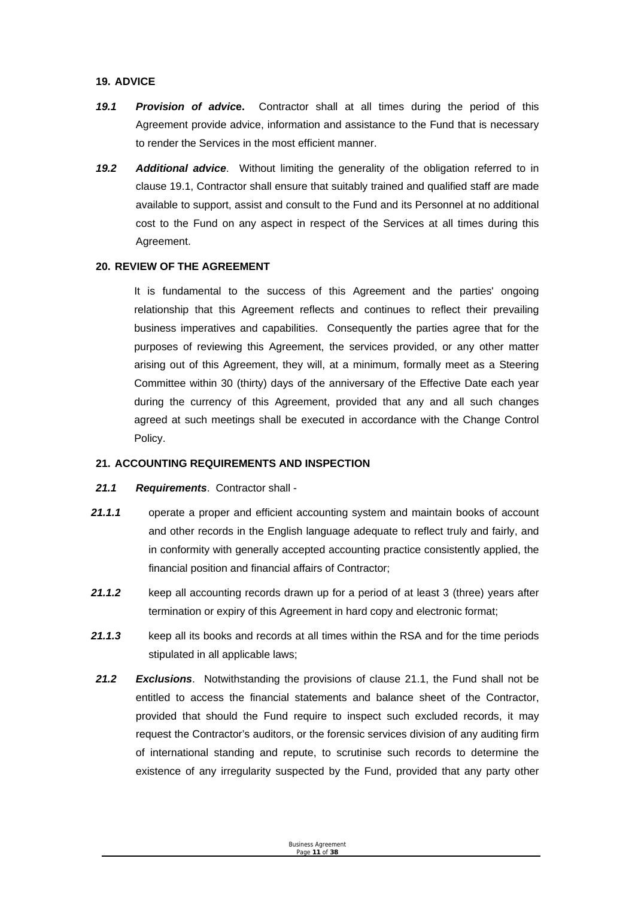#### **19. ADVICE**

- *19.1 Provision of advic***e.** Contractor shall at all times during the period of this Agreement provide advice, information and assistance to the Fund that is necessary to render the Services in the most efficient manner.
- *19.2 Additional advice*. Without limiting the generality of the obligation referred to in clause 19.1, Contractor shall ensure that suitably trained and qualified staff are made available to support, assist and consult to the Fund and its Personnel at no additional cost to the Fund on any aspect in respect of the Services at all times during this Agreement.

#### **20. REVIEW OF THE AGREEMENT**

It is fundamental to the success of this Agreement and the parties' ongoing relationship that this Agreement reflects and continues to reflect their prevailing business imperatives and capabilities. Consequently the parties agree that for the purposes of reviewing this Agreement, the services provided, or any other matter arising out of this Agreement, they will, at a minimum, formally meet as a Steering Committee within 30 (thirty) days of the anniversary of the Effective Date each year during the currency of this Agreement, provided that any and all such changes agreed at such meetings shall be executed in accordance with the Change Control Policy.

#### **21. ACCOUNTING REQUIREMENTS AND INSPECTION**

#### *21.1 Requirements*. Contractor shall -

- 21.1.1 operate a proper and efficient accounting system and maintain books of account and other records in the English language adequate to reflect truly and fairly, and in conformity with generally accepted accounting practice consistently applied, the financial position and financial affairs of Contractor;
- *21.1.2* keep all accounting records drawn up for a period of at least 3 (three) years after termination or expiry of this Agreement in hard copy and electronic format;
- *21.1.3* keep all its books and records at all times within the RSA and for the time periods stipulated in all applicable laws;
- *21.2 Exclusions*. Notwithstanding the provisions of clause 21.1, the Fund shall not be entitled to access the financial statements and balance sheet of the Contractor, provided that should the Fund require to inspect such excluded records, it may request the Contractor's auditors, or the forensic services division of any auditing firm of international standing and repute, to scrutinise such records to determine the existence of any irregularity suspected by the Fund, provided that any party other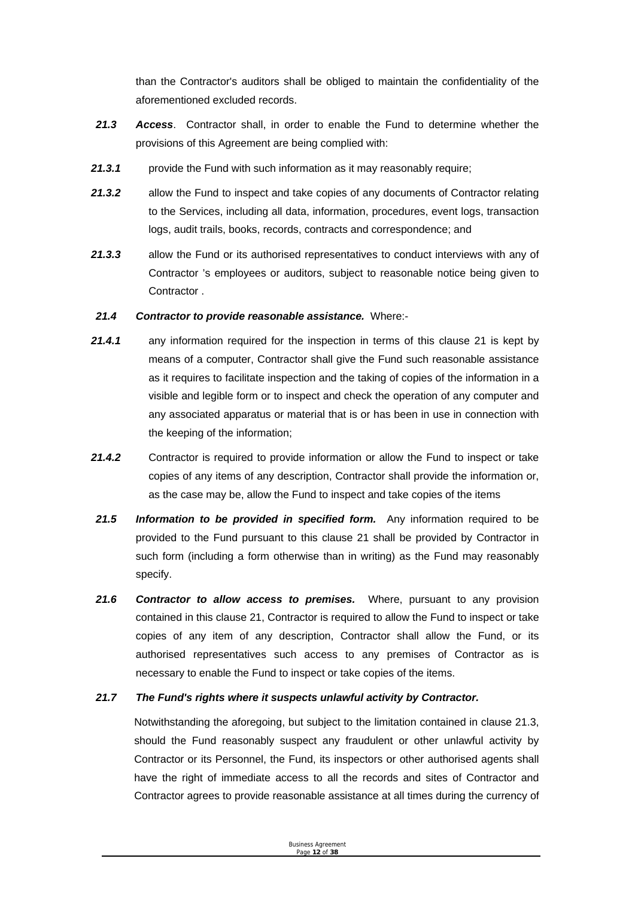than the Contractor's auditors shall be obliged to maintain the confidentiality of the aforementioned excluded records.

- *21.3 Access*. Contractor shall, in order to enable the Fund to determine whether the provisions of this Agreement are being complied with:
- 21.3.1 **provide the Fund with such information as it may reasonably require;**
- *21.3.2* allow the Fund to inspect and take copies of any documents of Contractor relating to the Services, including all data, information, procedures, event logs, transaction logs, audit trails, books, records, contracts and correspondence; and
- *21.3.3* allow the Fund or its authorised representatives to conduct interviews with any of Contractor 's employees or auditors, subject to reasonable notice being given to **Contractor**

#### *21.4 Contractor to provide reasonable assistance.* Where:-

- *21.4.1* any information required for the inspection in terms of this clause 21 is kept by means of a computer, Contractor shall give the Fund such reasonable assistance as it requires to facilitate inspection and the taking of copies of the information in a visible and legible form or to inspect and check the operation of any computer and any associated apparatus or material that is or has been in use in connection with the keeping of the information;
- *21.4.2* Contractor is required to provide information or allow the Fund to inspect or take copies of any items of any description, Contractor shall provide the information or, as the case may be, allow the Fund to inspect and take copies of the items
- *21.5 Information to be provided in specified form.* Any information required to be provided to the Fund pursuant to this clause 21 shall be provided by Contractor in such form (including a form otherwise than in writing) as the Fund may reasonably specify.
- *21.6 Contractor to allow access to premises.* Where, pursuant to any provision contained in this clause 21, Contractor is required to allow the Fund to inspect or take copies of any item of any description, Contractor shall allow the Fund, or its authorised representatives such access to any premises of Contractor as is necessary to enable the Fund to inspect or take copies of the items.

#### *21.7 The Fund's rights where it suspects unlawful activity by Contractor.*

Notwithstanding the aforegoing, but subject to the limitation contained in clause 21.3, should the Fund reasonably suspect any fraudulent or other unlawful activity by Contractor or its Personnel, the Fund, its inspectors or other authorised agents shall have the right of immediate access to all the records and sites of Contractor and Contractor agrees to provide reasonable assistance at all times during the currency of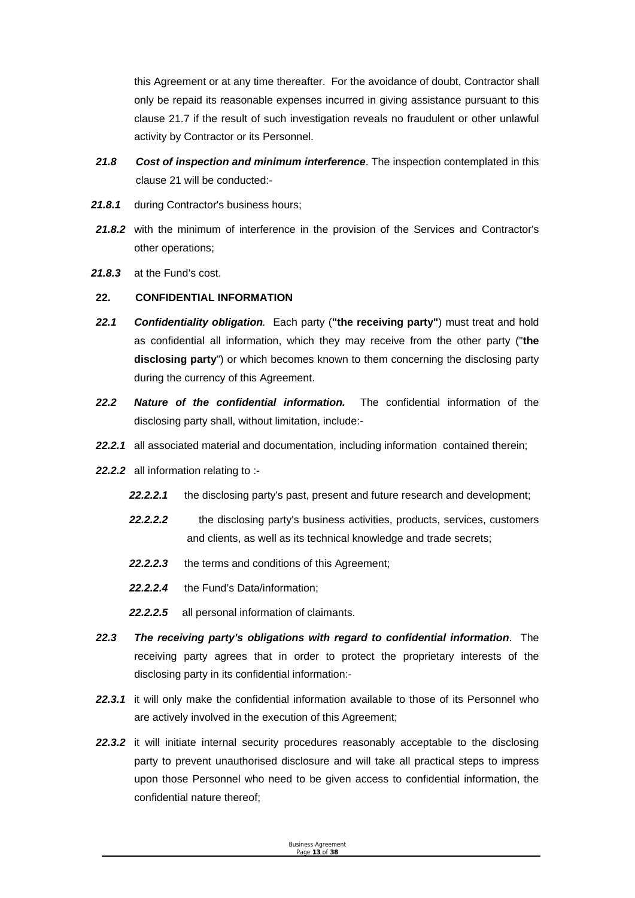this Agreement or at any time thereafter. For the avoidance of doubt, Contractor shall only be repaid its reasonable expenses incurred in giving assistance pursuant to this clause 21.7 if the result of such investigation reveals no fraudulent or other unlawful activity by Contractor or its Personnel.

- *21.8 Cost of inspection and minimum interference*. The inspection contemplated in this clause 21 will be conducted:-
- 21.8.1 during Contractor's business hours;
- *21.8.2* with the minimum of interference in the provision of the Services and Contractor's other operations;
- *21.8.3* at the Fund's cost.

#### **22. CONFIDENTIAL INFORMATION**

- *22.1 Confidentiality obligation.* Each party (**"the receiving party"**) must treat and hold as confidential all information, which they may receive from the other party ("**the disclosing party**") or which becomes known to them concerning the disclosing party during the currency of this Agreement.
- *22.2 Nature of the confidential information.* The confidential information of the disclosing party shall, without limitation, include:-
- **22.2.1** all associated material and documentation, including information contained therein;
- *22.2.2* all information relating to :-
	- *22.2.2.1* the disclosing party's past, present and future research and development;
	- *22.2.2.2* the disclosing party's business activities, products, services, customers and clients, as well as its technical knowledge and trade secrets;
	- *22.2.2.3* the terms and conditions of this Agreement;
	- *22.2.2.4* the Fund's Data/information;
	- *22.2.2.5* all personal information of claimants.
- *22.3 The receiving party's obligations with regard to confidential information*. The receiving party agrees that in order to protect the proprietary interests of the disclosing party in its confidential information:-
- *22.3.1* it will only make the confidential information available to those of its Personnel who are actively involved in the execution of this Agreement;
- *22.3.2* it will initiate internal security procedures reasonably acceptable to the disclosing party to prevent unauthorised disclosure and will take all practical steps to impress upon those Personnel who need to be given access to confidential information, the confidential nature thereof;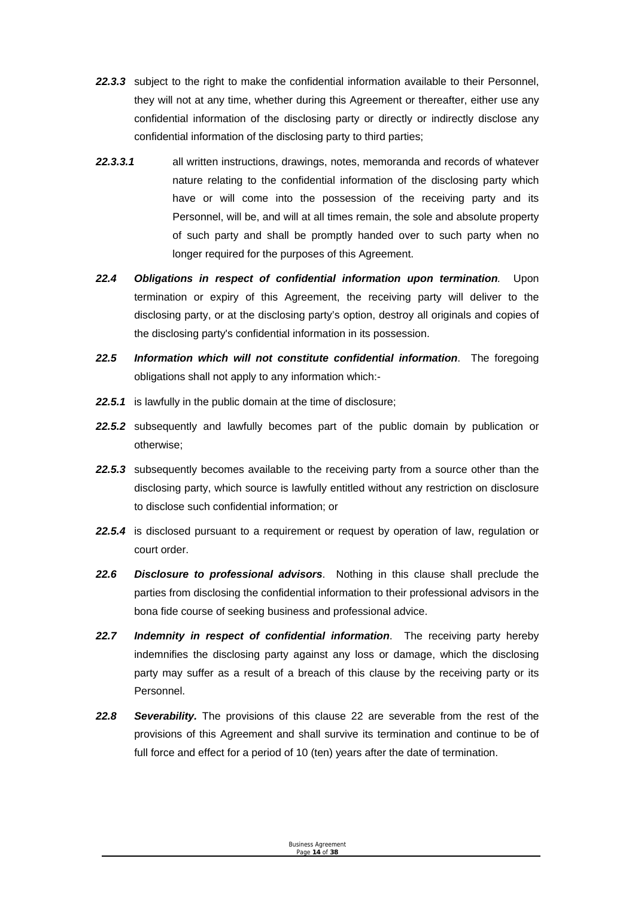- *22.3.3* subject to the right to make the confidential information available to their Personnel, they will not at any time, whether during this Agreement or thereafter, either use any confidential information of the disclosing party or directly or indirectly disclose any confidential information of the disclosing party to third parties;
- *22.3.3.1* all written instructions, drawings, notes, memoranda and records of whatever nature relating to the confidential information of the disclosing party which have or will come into the possession of the receiving party and its Personnel, will be, and will at all times remain, the sole and absolute property of such party and shall be promptly handed over to such party when no longer required for the purposes of this Agreement.
- *22.4 Obligations in respect of confidential information upon termination.* Upon termination or expiry of this Agreement, the receiving party will deliver to the disclosing party, or at the disclosing party's option, destroy all originals and copies of the disclosing party's confidential information in its possession.
- *22.5 Information which will not constitute confidential information*. The foregoing obligations shall not apply to any information which:-
- *22.5.1* is lawfully in the public domain at the time of disclosure;
- *22.5.2* subsequently and lawfully becomes part of the public domain by publication or otherwise;
- *22.5.3* subsequently becomes available to the receiving party from a source other than the disclosing party, which source is lawfully entitled without any restriction on disclosure to disclose such confidential information; or
- *22.5.4* is disclosed pursuant to a requirement or request by operation of law, regulation or court order.
- *22.6 Disclosure to professional advisors*. Nothing in this clause shall preclude the parties from disclosing the confidential information to their professional advisors in the bona fide course of seeking business and professional advice.
- *22.7 Indemnity in respect of confidential information*. The receiving party hereby indemnifies the disclosing party against any loss or damage, which the disclosing party may suffer as a result of a breach of this clause by the receiving party or its Personnel.
- *22.8 Severability.* The provisions of this clause 22 are severable from the rest of the provisions of this Agreement and shall survive its termination and continue to be of full force and effect for a period of 10 (ten) years after the date of termination.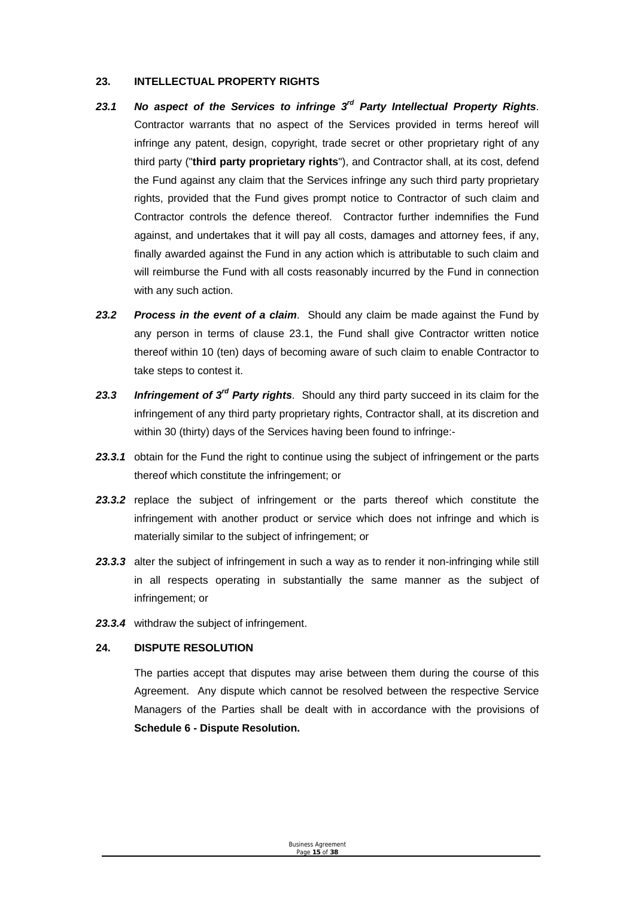#### **23. INTELLECTUAL PROPERTY RIGHTS**

- *23.1 No aspect of the Services to infringe 3rd Party Intellectual Property Rights*. Contractor warrants that no aspect of the Services provided in terms hereof will infringe any patent, design, copyright, trade secret or other proprietary right of any third party ("**third party proprietary rights**"), and Contractor shall, at its cost, defend the Fund against any claim that the Services infringe any such third party proprietary rights, provided that the Fund gives prompt notice to Contractor of such claim and Contractor controls the defence thereof. Contractor further indemnifies the Fund against, and undertakes that it will pay all costs, damages and attorney fees, if any, finally awarded against the Fund in any action which is attributable to such claim and will reimburse the Fund with all costs reasonably incurred by the Fund in connection with any such action.
- *23.2 Process in the event of a claim*. Should any claim be made against the Fund by any person in terms of clause 23.1, the Fund shall give Contractor written notice thereof within 10 (ten) days of becoming aware of such claim to enable Contractor to take steps to contest it.
- *23.3 Infringement of 3rd Party rights*. Should any third party succeed in its claim for the infringement of any third party proprietary rights, Contractor shall, at its discretion and within 30 (thirty) days of the Services having been found to infringe:-
- 23.3.1 obtain for the Fund the right to continue using the subject of infringement or the parts thereof which constitute the infringement; or
- *23.3.2* replace the subject of infringement or the parts thereof which constitute the infringement with another product or service which does not infringe and which is materially similar to the subject of infringement; or
- 23.3.3 alter the subject of infringement in such a way as to render it non-infringing while still in all respects operating in substantially the same manner as the subject of infringement; or
- *23.3.4* withdraw the subject of infringement.

#### **24. DISPUTE RESOLUTION**

The parties accept that disputes may arise between them during the course of this Agreement. Any dispute which cannot be resolved between the respective Service Managers of the Parties shall be dealt with in accordance with the provisions of **Schedule 6 - Dispute Resolution.**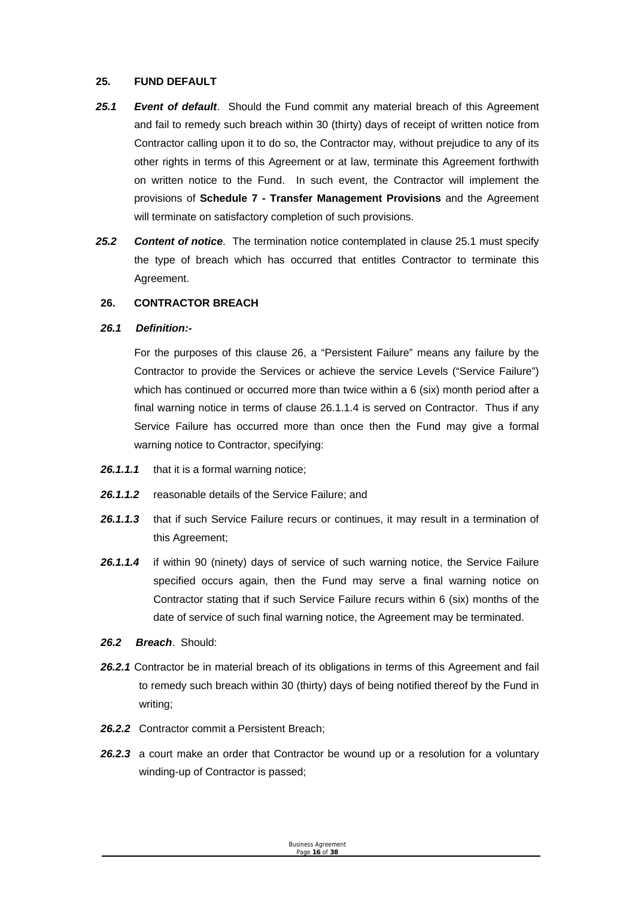#### **25. FUND DEFAULT**

- *25.1 Event of default*. Should the Fund commit any material breach of this Agreement and fail to remedy such breach within 30 (thirty) days of receipt of written notice from Contractor calling upon it to do so, the Contractor may, without prejudice to any of its other rights in terms of this Agreement or at law, terminate this Agreement forthwith on written notice to the Fund. In such event, the Contractor will implement the provisions of **Schedule 7 - Transfer Management Provisions** and the Agreement will terminate on satisfactory completion of such provisions.
- *25.2 Content of notice*. The termination notice contemplated in clause 25.1 must specify the type of breach which has occurred that entitles Contractor to terminate this Agreement.

#### **26. CONTRACTOR BREACH**

#### *26.1 Definition:-*

For the purposes of this clause 26, a "Persistent Failure" means any failure by the Contractor to provide the Services or achieve the service Levels ("Service Failure") which has continued or occurred more than twice within a 6 (six) month period after a final warning notice in terms of clause 26.1.1.4 is served on Contractor. Thus if any Service Failure has occurred more than once then the Fund may give a formal warning notice to Contractor, specifying:

- *26.1.1.1* that it is a formal warning notice;
- *26.1.1.2* reasonable details of the Service Failure; and
- 26.1.1.3 that if such Service Failure recurs or continues, it may result in a termination of this Agreement;
- *26.1.1.4* if within 90 (ninety) days of service of such warning notice, the Service Failure specified occurs again, then the Fund may serve a final warning notice on Contractor stating that if such Service Failure recurs within 6 (six) months of the date of service of such final warning notice, the Agreement may be terminated.
- *26.2 Breach*. Should:
- *26.2.1* Contractor be in material breach of its obligations in terms of this Agreement and fail to remedy such breach within 30 (thirty) days of being notified thereof by the Fund in writing;
- *26.2.2* Contractor commit a Persistent Breach;
- *26.2.3* a court make an order that Contractor be wound up or a resolution for a voluntary winding-up of Contractor is passed;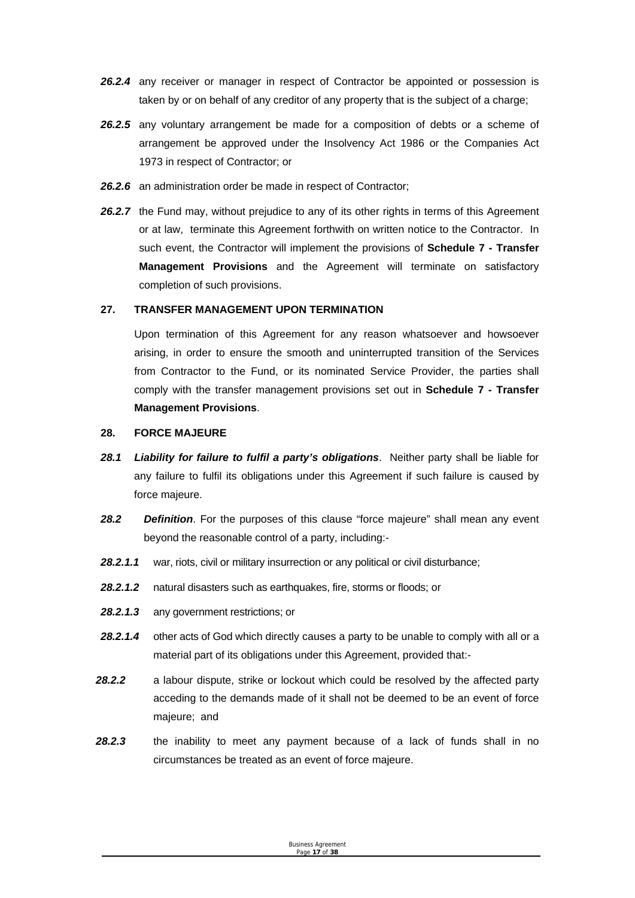- **26.2.4** any receiver or manager in respect of Contractor be appointed or possession is taken by or on behalf of any creditor of any property that is the subject of a charge;
- *26.2.5* any voluntary arrangement be made for a composition of debts or a scheme of arrangement be approved under the Insolvency Act 1986 or the Companies Act 1973 in respect of Contractor; or
- *26.2.6* an administration order be made in respect of Contractor;
- 26.2.7 the Fund may, without prejudice to any of its other rights in terms of this Agreement or at law, terminate this Agreement forthwith on written notice to the Contractor. In such event, the Contractor will implement the provisions of **Schedule 7 - Transfer Management Provisions** and the Agreement will terminate on satisfactory completion of such provisions.

#### **27. TRANSFER MANAGEMENT UPON TERMINATION**

Upon termination of this Agreement for any reason whatsoever and howsoever arising, in order to ensure the smooth and uninterrupted transition of the Services from Contractor to the Fund, or its nominated Service Provider, the parties shall comply with the transfer management provisions set out in **Schedule 7 - Transfer Management Provisions**.

#### **28. FORCE MAJEURE**

- *28.1 Liability for failure to fulfil a party's obligations*. Neither party shall be liable for any failure to fulfil its obligations under this Agreement if such failure is caused by force majeure.
- *28.2 Definition*. For the purposes of this clause "force majeure" shall mean any event beyond the reasonable control of a party, including:-
- 28.2.1.1 war, riots, civil or military insurrection or any political or civil disturbance;
- *28.2.1.2* natural disasters such as earthquakes, fire, storms or floods; or
- *28.2.1.3* any government restrictions; or
- *28.2.1.4* other acts of God which directly causes a party to be unable to comply with all or a material part of its obligations under this Agreement, provided that:-
- *28.2.2* a labour dispute, strike or lockout which could be resolved by the affected party acceding to the demands made of it shall not be deemed to be an event of force majeure; and
- *28.2.3* the inability to meet any payment because of a lack of funds shall in no circumstances be treated as an event of force majeure.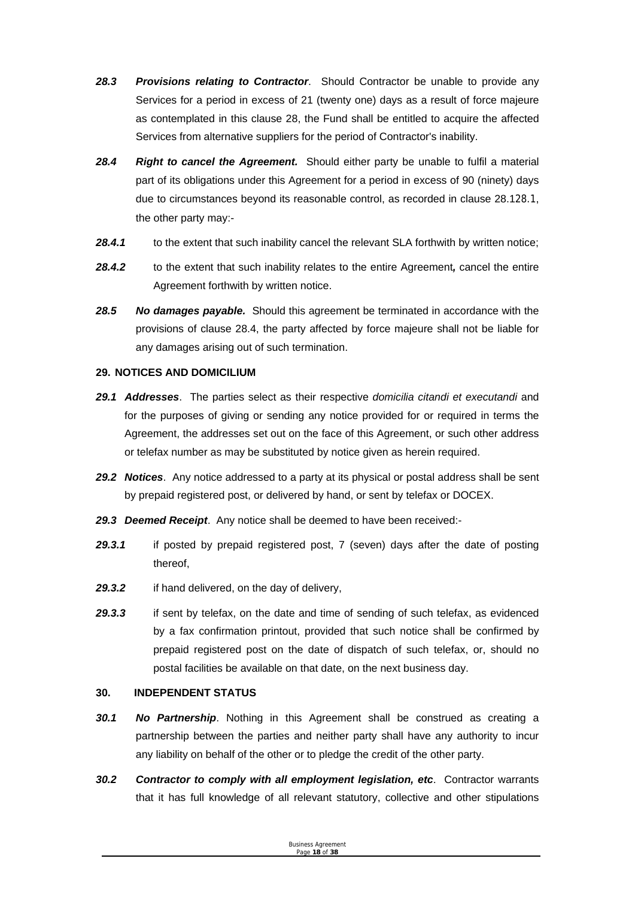- *28.3 Provisions relating to Contractor*. Should Contractor be unable to provide any Services for a period in excess of 21 (twenty one) days as a result of force majeure as contemplated in this clause 28, the Fund shall be entitled to acquire the affected Services from alternative suppliers for the period of Contractor's inability.
- *28.4 Right to cancel the Agreement.* Should either party be unable to fulfil a material part of its obligations under this Agreement for a period in excess of 90 (ninety) days due to circumstances beyond its reasonable control, as recorded in clause 28.128.1, the other party may:-
- 28.4.1 to the extent that such inability cancel the relevant SLA forthwith by written notice;
- *28.4.2* to the extent that such inability relates to the entire Agreement*,* cancel the entire Agreement forthwith by written notice.
- *28.5 No damages payable.* Should this agreement be terminated in accordance with the provisions of clause 28.4, the party affected by force majeure shall not be liable for any damages arising out of such termination.

#### **29. NOTICES AND DOMICILIUM**

- *29.1 Addresses*. The parties select as their respective *domicilia citandi et executandi* and for the purposes of giving or sending any notice provided for or required in terms the Agreement, the addresses set out on the face of this Agreement, or such other address or telefax number as may be substituted by notice given as herein required.
- *29.2 Notices*. Any notice addressed to a party at its physical or postal address shall be sent by prepaid registered post, or delivered by hand, or sent by telefax or DOCEX.
- *29.3 Deemed Receipt*. Any notice shall be deemed to have been received:-
- *29.3.1* if posted by prepaid registered post, 7 (seven) days after the date of posting thereof,
- *29.3.2* if hand delivered, on the day of delivery,
- *29.3.3* if sent by telefax, on the date and time of sending of such telefax, as evidenced by a fax confirmation printout, provided that such notice shall be confirmed by prepaid registered post on the date of dispatch of such telefax, or, should no postal facilities be available on that date, on the next business day.

#### **30. INDEPENDENT STATUS**

- *30.1 No Partnership*. Nothing in this Agreement shall be construed as creating a partnership between the parties and neither party shall have any authority to incur any liability on behalf of the other or to pledge the credit of the other party.
- *30.2 Contractor to comply with all employment legislation, etc*. Contractor warrants that it has full knowledge of all relevant statutory, collective and other stipulations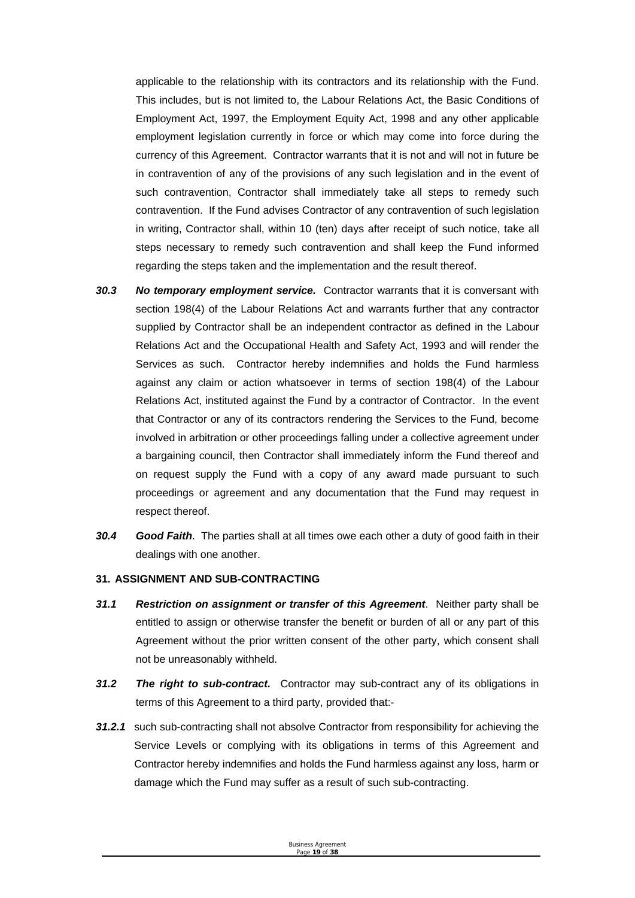applicable to the relationship with its contractors and its relationship with the Fund. This includes, but is not limited to, the Labour Relations Act, the Basic Conditions of Employment Act, 1997, the Employment Equity Act, 1998 and any other applicable employment legislation currently in force or which may come into force during the currency of this Agreement. Contractor warrants that it is not and will not in future be in contravention of any of the provisions of any such legislation and in the event of such contravention, Contractor shall immediately take all steps to remedy such contravention. If the Fund advises Contractor of any contravention of such legislation in writing, Contractor shall, within 10 (ten) days after receipt of such notice, take all steps necessary to remedy such contravention and shall keep the Fund informed regarding the steps taken and the implementation and the result thereof.

- **30.3** No temporary employment service. Contractor warrants that it is conversant with section 198(4) of the Labour Relations Act and warrants further that any contractor supplied by Contractor shall be an independent contractor as defined in the Labour Relations Act and the Occupational Health and Safety Act, 1993 and will render the Services as such. Contractor hereby indemnifies and holds the Fund harmless against any claim or action whatsoever in terms of section 198(4) of the Labour Relations Act, instituted against the Fund by a contractor of Contractor. In the event that Contractor or any of its contractors rendering the Services to the Fund, become involved in arbitration or other proceedings falling under a collective agreement under a bargaining council, then Contractor shall immediately inform the Fund thereof and on request supply the Fund with a copy of any award made pursuant to such proceedings or agreement and any documentation that the Fund may request in respect thereof.
- *30.4 Good Faith*. The parties shall at all times owe each other a duty of good faith in their dealings with one another.

#### **31. ASSIGNMENT AND SUB-CONTRACTING**

- *31.1 Restriction on assignment or transfer of this Agreement*. Neither party shall be entitled to assign or otherwise transfer the benefit or burden of all or any part of this Agreement without the prior written consent of the other party, which consent shall not be unreasonably withheld.
- *31.2 The right to sub-contract.* Contractor may sub-contract any of its obligations in terms of this Agreement to a third party, provided that:-
- **31.2.1** such sub-contracting shall not absolve Contractor from responsibility for achieving the Service Levels or complying with its obligations in terms of this Agreement and Contractor hereby indemnifies and holds the Fund harmless against any loss, harm or damage which the Fund may suffer as a result of such sub-contracting.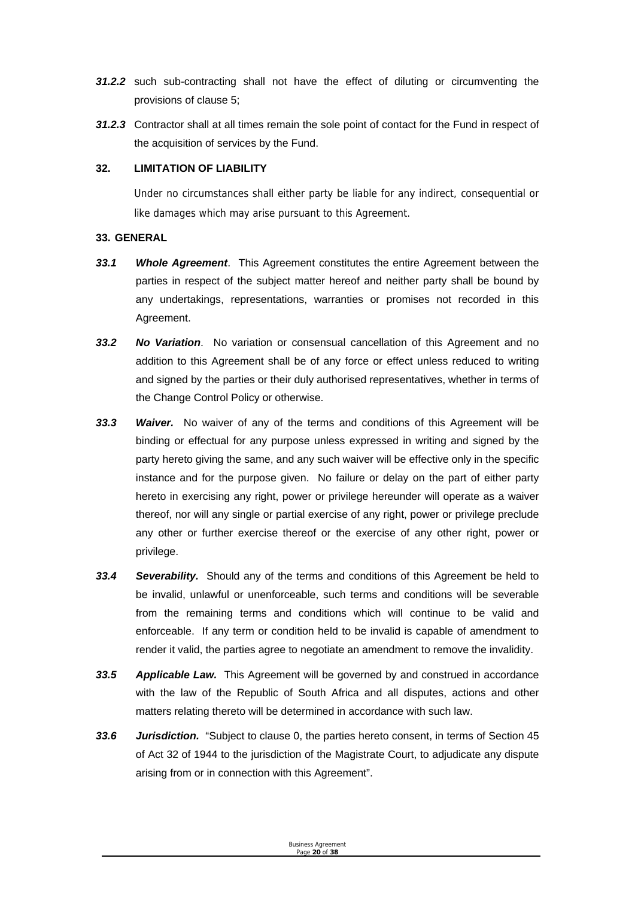- *31.2.2* such sub-contracting shall not have the effect of diluting or circumventing the provisions of clause 5;
- *31.2.3* Contractor shall at all times remain the sole point of contact for the Fund in respect of the acquisition of services by the Fund.

#### **32. LIMITATION OF LIABILITY**

Under no circumstances shall either party be liable for any indirect, consequential or like damages which may arise pursuant to this Agreement.

#### **33. GENERAL**

- *33.1 Whole Agreement*. This Agreement constitutes the entire Agreement between the parties in respect of the subject matter hereof and neither party shall be bound by any undertakings, representations, warranties or promises not recorded in this Agreement.
- *33.2 No Variation*. No variation or consensual cancellation of this Agreement and no addition to this Agreement shall be of any force or effect unless reduced to writing and signed by the parties or their duly authorised representatives, whether in terms of the Change Control Policy or otherwise.
- *33.3 Waiver.* No waiver of any of the terms and conditions of this Agreement will be binding or effectual for any purpose unless expressed in writing and signed by the party hereto giving the same, and any such waiver will be effective only in the specific instance and for the purpose given. No failure or delay on the part of either party hereto in exercising any right, power or privilege hereunder will operate as a waiver thereof, nor will any single or partial exercise of any right, power or privilege preclude any other or further exercise thereof or the exercise of any other right, power or privilege.
- *33.4 Severability.* Should any of the terms and conditions of this Agreement be held to be invalid, unlawful or unenforceable, such terms and conditions will be severable from the remaining terms and conditions which will continue to be valid and enforceable. If any term or condition held to be invalid is capable of amendment to render it valid, the parties agree to negotiate an amendment to remove the invalidity.
- *33.5 Applicable Law.* This Agreement will be governed by and construed in accordance with the law of the Republic of South Africa and all disputes, actions and other matters relating thereto will be determined in accordance with such law.
- *33.6 Jurisdiction.* "Subject to clause 0, the parties hereto consent, in terms of Section 45 of Act 32 of 1944 to the jurisdiction of the Magistrate Court, to adjudicate any dispute arising from or in connection with this Agreement".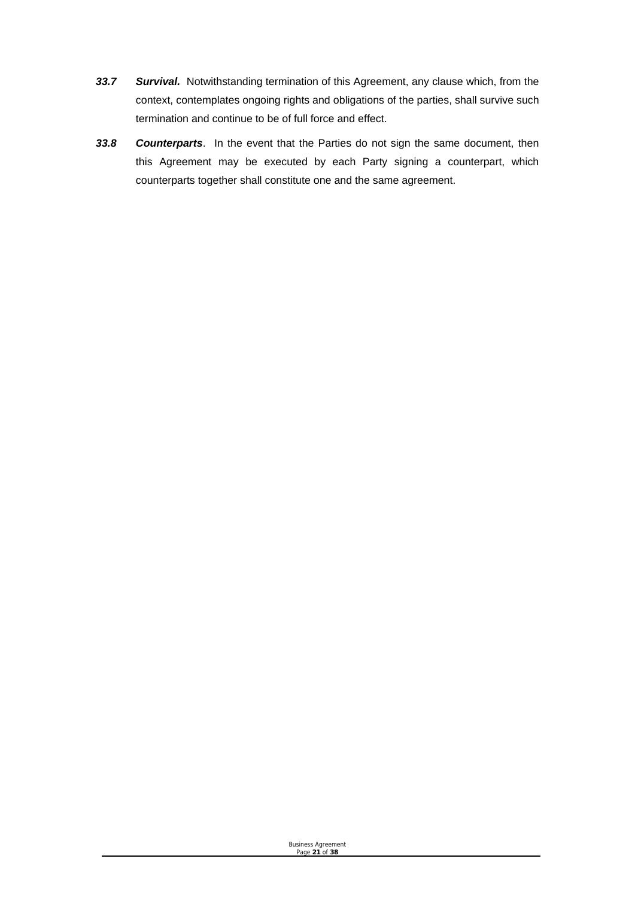- *33.7 Survival.* Notwithstanding termination of this Agreement, any clause which, from the context, contemplates ongoing rights and obligations of the parties, shall survive such termination and continue to be of full force and effect.
- *33.8 Counterparts*. In the event that the Parties do not sign the same document, then this Agreement may be executed by each Party signing a counterpart, which counterparts together shall constitute one and the same agreement.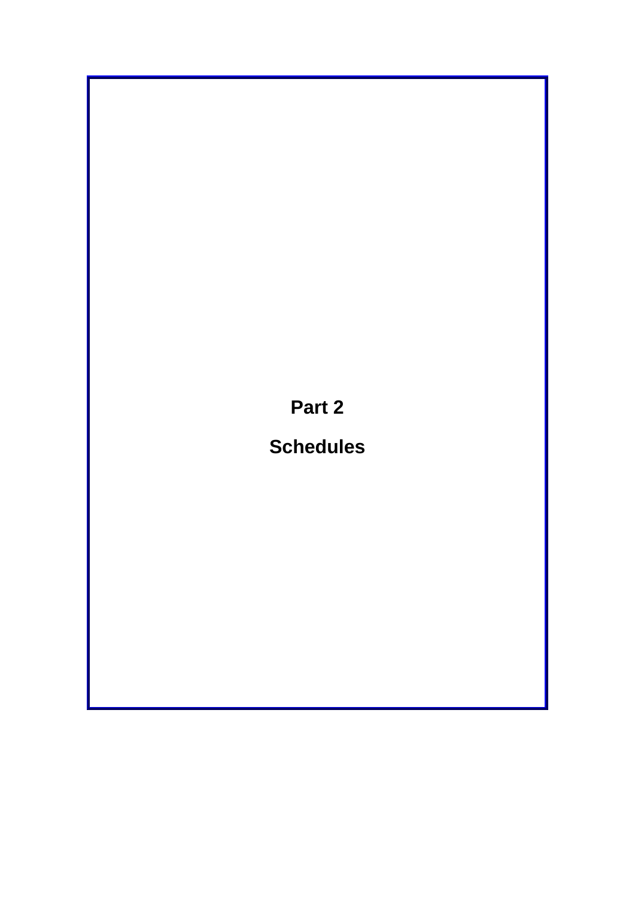**Part 2** 

# **Schedules**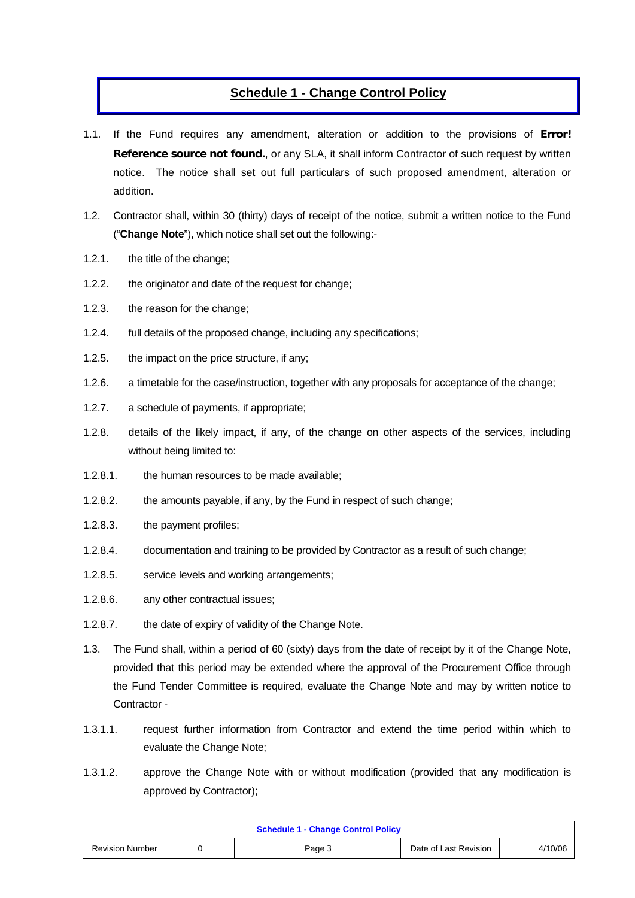## **Schedule 1 - Change Control Policy**

- 1.1. If the Fund requires any amendment, alteration or addition to the provisions of **Error! Reference source not found.**, or any SLA, it shall inform Contractor of such request by written notice. The notice shall set out full particulars of such proposed amendment, alteration or addition.
- 1.2. Contractor shall, within 30 (thirty) days of receipt of the notice, submit a written notice to the Fund ("**Change Note**"), which notice shall set out the following:-
- 1.2.1. the title of the change;
- 1.2.2. the originator and date of the request for change;
- 1.2.3. the reason for the change;
- 1.2.4. full details of the proposed change, including any specifications;
- 1.2.5. the impact on the price structure, if any;
- 1.2.6. a timetable for the case/instruction, together with any proposals for acceptance of the change;
- 1.2.7. a schedule of payments, if appropriate;
- 1.2.8. details of the likely impact, if any, of the change on other aspects of the services, including without being limited to:
- 1.2.8.1. the human resources to be made available;
- 1.2.8.2. the amounts payable, if any, by the Fund in respect of such change;
- 1.2.8.3. the payment profiles;
- 1.2.8.4. documentation and training to be provided by Contractor as a result of such change;
- 1.2.8.5. service levels and working arrangements;
- 1.2.8.6. any other contractual issues;
- 1.2.8.7. the date of expiry of validity of the Change Note.
- 1.3. The Fund shall, within a period of 60 (sixty) days from the date of receipt by it of the Change Note, provided that this period may be extended where the approval of the Procurement Office through the Fund Tender Committee is required, evaluate the Change Note and may by written notice to Contractor -
- 1.3.1.1. request further information from Contractor and extend the time period within which to evaluate the Change Note;
- 1.3.1.2. approve the Change Note with or without modification (provided that any modification is approved by Contractor);

| <b>Schedule 1 - Change Control Policy</b> |  |        |                       |         |  |
|-------------------------------------------|--|--------|-----------------------|---------|--|
| <b>Revision Number</b>                    |  | Page 3 | Date of Last Revision | 4/10/06 |  |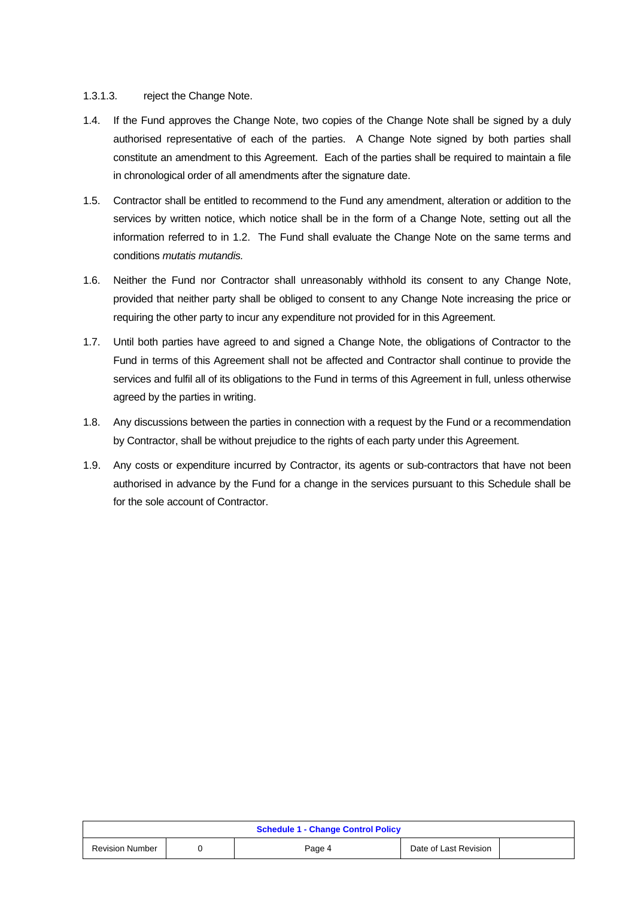#### 1.3.1.3. reject the Change Note.

- 1.4. If the Fund approves the Change Note, two copies of the Change Note shall be signed by a duly authorised representative of each of the parties. A Change Note signed by both parties shall constitute an amendment to this Agreement. Each of the parties shall be required to maintain a file in chronological order of all amendments after the signature date.
- 1.5. Contractor shall be entitled to recommend to the Fund any amendment, alteration or addition to the services by written notice, which notice shall be in the form of a Change Note, setting out all the information referred to in 1.2. The Fund shall evaluate the Change Note on the same terms and conditions *mutatis mutandis.*
- 1.6. Neither the Fund nor Contractor shall unreasonably withhold its consent to any Change Note, provided that neither party shall be obliged to consent to any Change Note increasing the price or requiring the other party to incur any expenditure not provided for in this Agreement.
- 1.7. Until both parties have agreed to and signed a Change Note, the obligations of Contractor to the Fund in terms of this Agreement shall not be affected and Contractor shall continue to provide the services and fulfil all of its obligations to the Fund in terms of this Agreement in full, unless otherwise agreed by the parties in writing.
- 1.8. Any discussions between the parties in connection with a request by the Fund or a recommendation by Contractor, shall be without prejudice to the rights of each party under this Agreement.
- 1.9. Any costs or expenditure incurred by Contractor, its agents or sub-contractors that have not been authorised in advance by the Fund for a change in the services pursuant to this Schedule shall be for the sole account of Contractor.

| <b>Schedule 1 - Change Control Policy</b> |  |        |                       |  |  |
|-------------------------------------------|--|--------|-----------------------|--|--|
| <b>Revision Number</b>                    |  | Page 4 | Date of Last Revision |  |  |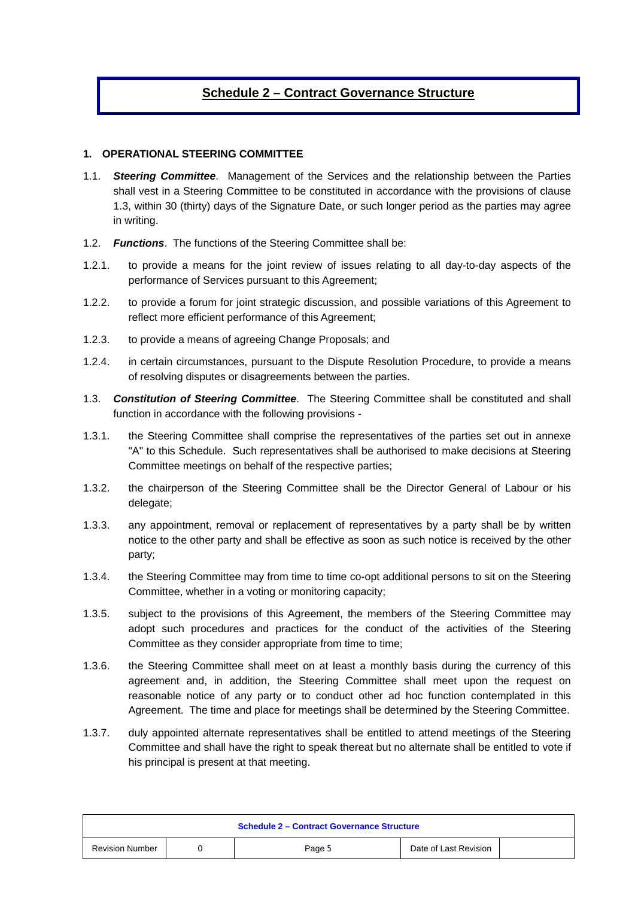## **Schedule 2 – Contract Governance Structure**

#### **1. OPERATIONAL STEERING COMMITTEE**

- 1.1. *Steering Committee*. Management of the Services and the relationship between the Parties shall vest in a Steering Committee to be constituted in accordance with the provisions of clause 1.3, within 30 (thirty) days of the Signature Date, or such longer period as the parties may agree in writing.
- 1.2. *Functions*. The functions of the Steering Committee shall be:
- 1.2.1. to provide a means for the joint review of issues relating to all day-to-day aspects of the performance of Services pursuant to this Agreement;
- 1.2.2. to provide a forum for joint strategic discussion, and possible variations of this Agreement to reflect more efficient performance of this Agreement;
- 1.2.3. to provide a means of agreeing Change Proposals; and
- 1.2.4. in certain circumstances, pursuant to the Dispute Resolution Procedure, to provide a means of resolving disputes or disagreements between the parties.
- 1.3. *Constitution of Steering Committee*. The Steering Committee shall be constituted and shall function in accordance with the following provisions -
- 1.3.1. the Steering Committee shall comprise the representatives of the parties set out in annexe "A" to this Schedule. Such representatives shall be authorised to make decisions at Steering Committee meetings on behalf of the respective parties;
- 1.3.2. the chairperson of the Steering Committee shall be the Director General of Labour or his delegate:
- 1.3.3. any appointment, removal or replacement of representatives by a party shall be by written notice to the other party and shall be effective as soon as such notice is received by the other party;
- 1.3.4. the Steering Committee may from time to time co-opt additional persons to sit on the Steering Committee, whether in a voting or monitoring capacity;
- 1.3.5. subject to the provisions of this Agreement, the members of the Steering Committee may adopt such procedures and practices for the conduct of the activities of the Steering Committee as they consider appropriate from time to time;
- 1.3.6. the Steering Committee shall meet on at least a monthly basis during the currency of this agreement and, in addition, the Steering Committee shall meet upon the request on reasonable notice of any party or to conduct other ad hoc function contemplated in this Agreement. The time and place for meetings shall be determined by the Steering Committee.
- 1.3.7. duly appointed alternate representatives shall be entitled to attend meetings of the Steering Committee and shall have the right to speak thereat but no alternate shall be entitled to vote if his principal is present at that meeting.

| <b>Schedule 2 - Contract Governance Structure</b> |  |        |                       |  |
|---------------------------------------------------|--|--------|-----------------------|--|
| <b>Revision Number</b>                            |  | Page 5 | Date of Last Revision |  |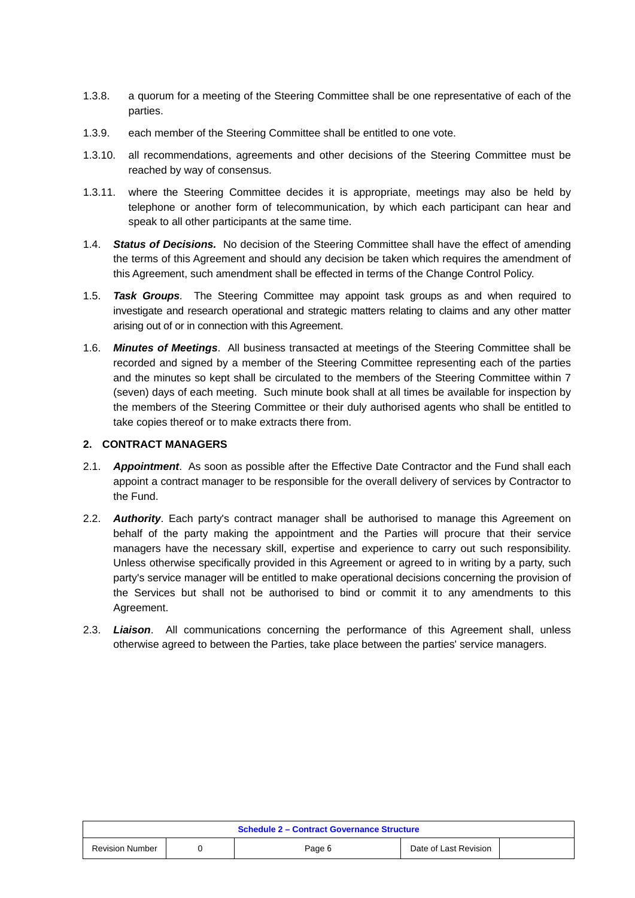- 1.3.8. a quorum for a meeting of the Steering Committee shall be one representative of each of the parties.
- 1.3.9. each member of the Steering Committee shall be entitled to one vote.
- 1.3.10. all recommendations, agreements and other decisions of the Steering Committee must be reached by way of consensus.
- 1.3.11. where the Steering Committee decides it is appropriate, meetings may also be held by telephone or another form of telecommunication, by which each participant can hear and speak to all other participants at the same time.
- 1.4. *Status of Decisions.* No decision of the Steering Committee shall have the effect of amending the terms of this Agreement and should any decision be taken which requires the amendment of this Agreement, such amendment shall be effected in terms of the Change Control Policy.
- 1.5. *Task Groups*. The Steering Committee may appoint task groups as and when required to investigate and research operational and strategic matters relating to claims and any other matter arising out of or in connection with this Agreement.
- 1.6. *Minutes of Meetings*. All business transacted at meetings of the Steering Committee shall be recorded and signed by a member of the Steering Committee representing each of the parties and the minutes so kept shall be circulated to the members of the Steering Committee within 7 (seven) days of each meeting. Such minute book shall at all times be available for inspection by the members of the Steering Committee or their duly authorised agents who shall be entitled to take copies thereof or to make extracts there from.

#### **2. CONTRACT MANAGERS**

- 2.1. *Appointment*. As soon as possible after the Effective Date Contractor and the Fund shall each appoint a contract manager to be responsible for the overall delivery of services by Contractor to the Fund.
- 2.2. *Authority*. Each party's contract manager shall be authorised to manage this Agreement on behalf of the party making the appointment and the Parties will procure that their service managers have the necessary skill, expertise and experience to carry out such responsibility. Unless otherwise specifically provided in this Agreement or agreed to in writing by a party, such party's service manager will be entitled to make operational decisions concerning the provision of the Services but shall not be authorised to bind or commit it to any amendments to this Agreement.
- 2.3. *Liaison*. All communications concerning the performance of this Agreement shall, unless otherwise agreed to between the Parties, take place between the parties' service managers.

| <b>Schedule 2 - Contract Governance Structure</b> |  |        |                       |  |  |
|---------------------------------------------------|--|--------|-----------------------|--|--|
| <b>Revision Number</b>                            |  | Page 6 | Date of Last Revision |  |  |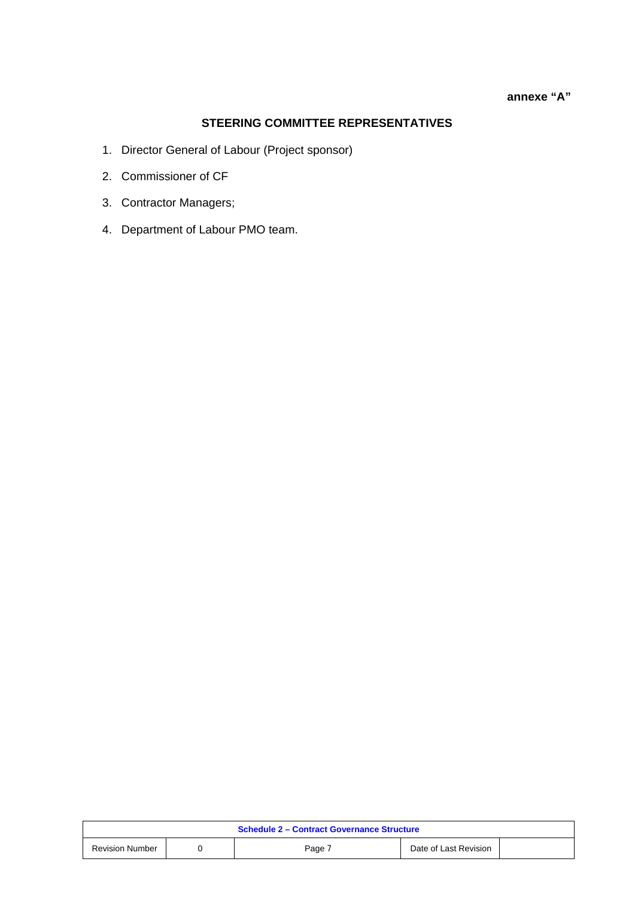#### **annexe "A"**

## **STEERING COMMITTEE REPRESENTATIVES**

- 1. Director General of Labour (Project sponsor)
- 2. Commissioner of CF
- 3. Contractor Managers;
- 4. Department of Labour PMO team.

| <b>Schedule 2 - Contract Governance Structure</b> |  |        |                       |  |  |
|---------------------------------------------------|--|--------|-----------------------|--|--|
| <b>Revision Number</b>                            |  | Page 7 | Date of Last Revision |  |  |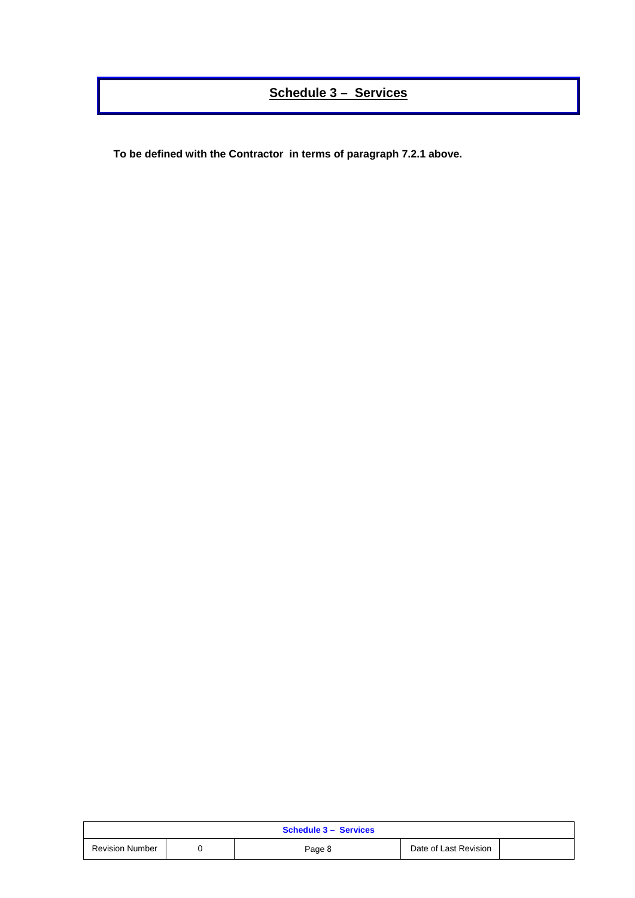## **Schedule 3 – Services**

**To be defined with the Contractor in terms of paragraph 7.2.1 above.** 

| <b>Schedule 3 - Services</b> |  |        |                       |  |  |
|------------------------------|--|--------|-----------------------|--|--|
| <b>Revision Number</b>       |  | Page 8 | Date of Last Revision |  |  |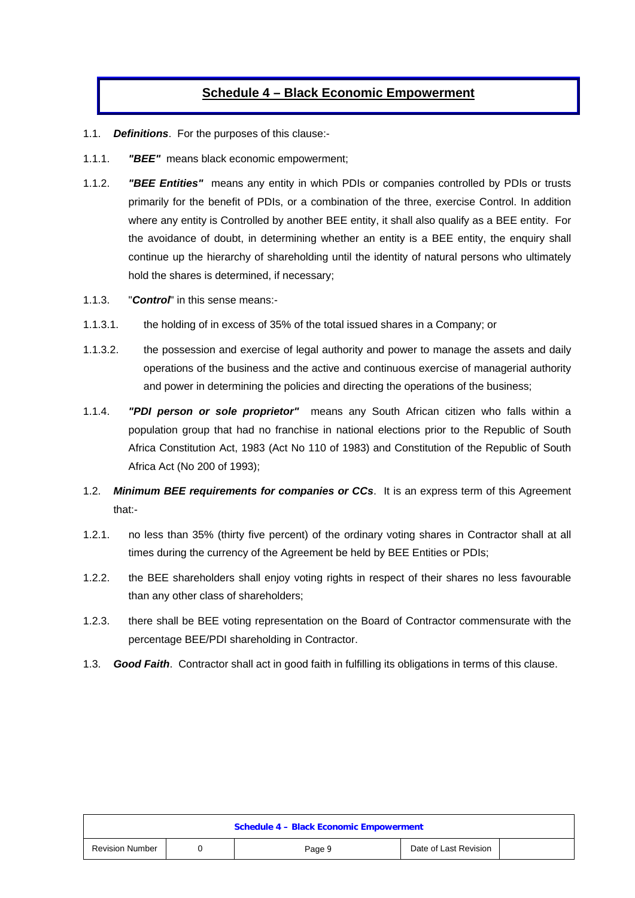## **Schedule 4 – Black Economic Empowerment**

- 1.1. *Definitions*. For the purposes of this clause:-
- 1.1.1. *"BEE"* means black economic empowerment;
- 1.1.2. *"BEE Entities"* means any entity in which PDIs or companies controlled by PDIs or trusts primarily for the benefit of PDIs, or a combination of the three, exercise Control. In addition where any entity is Controlled by another BEE entity, it shall also qualify as a BEE entity. For the avoidance of doubt, in determining whether an entity is a BEE entity, the enquiry shall continue up the hierarchy of shareholding until the identity of natural persons who ultimately hold the shares is determined, if necessary;
- 1.1.3. "*Control*" in this sense means:-
- 1.1.3.1. the holding of in excess of 35% of the total issued shares in a Company; or
- 1.1.3.2. the possession and exercise of legal authority and power to manage the assets and daily operations of the business and the active and continuous exercise of managerial authority and power in determining the policies and directing the operations of the business;
- 1.1.4. *"PDI person or sole proprietor"* means any South African citizen who falls within a population group that had no franchise in national elections prior to the Republic of South Africa Constitution Act, 1983 (Act No 110 of 1983) and Constitution of the Republic of South Africa Act (No 200 of 1993);
- 1.2. *Minimum BEE requirements for companies or CCs*. It is an express term of this Agreement that:-
- 1.2.1. no less than 35% (thirty five percent) of the ordinary voting shares in Contractor shall at all times during the currency of the Agreement be held by BEE Entities or PDIs;
- 1.2.2. the BEE shareholders shall enjoy voting rights in respect of their shares no less favourable than any other class of shareholders;
- 1.2.3. there shall be BEE voting representation on the Board of Contractor commensurate with the percentage BEE/PDI shareholding in Contractor.
- 1.3. *Good Faith*. Contractor shall act in good faith in fulfilling its obligations in terms of this clause.

| <b>Schedule 4 - Black Economic Empowerment</b> |  |        |                       |  |
|------------------------------------------------|--|--------|-----------------------|--|
| <b>Revision Number</b>                         |  | Page 9 | Date of Last Revision |  |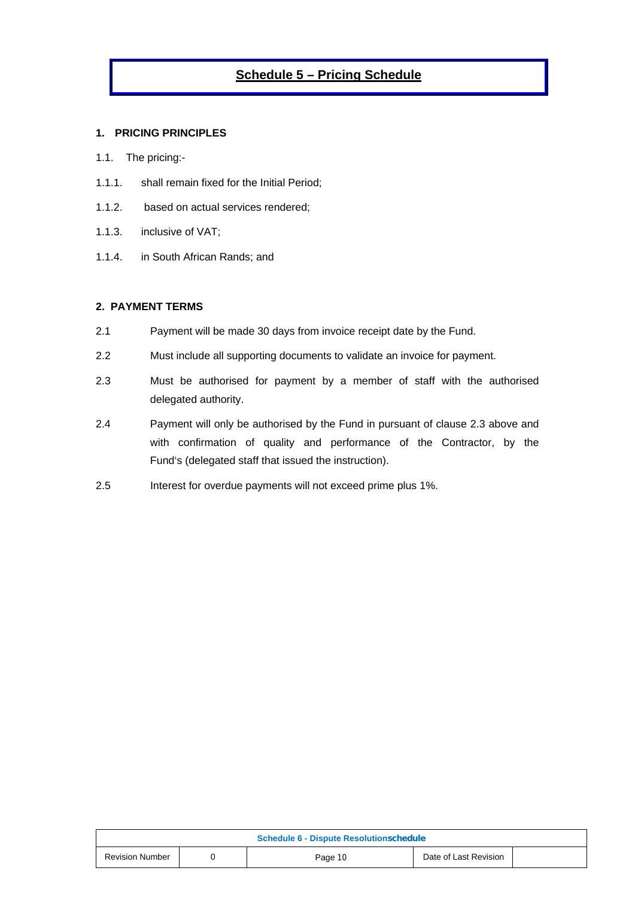## **Schedule 5 – Pricing Schedule**

#### **1. PRICING PRINCIPLES**

- 1.1. The pricing:-
- 1.1.1. shall remain fixed for the Initial Period;
- 1.1.2. based on actual services rendered;
- 1.1.3. inclusive of VAT;
- 1.1.4. in South African Rands; and

#### **2. PAYMENT TERMS**

- 2.1 Payment will be made 30 days from invoice receipt date by the Fund.
- 2.2 Must include all supporting documents to validate an invoice for payment.
- 2.3 Must be authorised for payment by a member of staff with the authorised delegated authority.
- 2.4 Payment will only be authorised by the Fund in pursuant of clause 2.3 above and with confirmation of quality and performance of the Contractor, by the Fund's (delegated staff that issued the instruction).
- 2.5 Interest for overdue payments will not exceed prime plus 1%.

| <b>Schedule 6 - Dispute Resolutionschedule</b> |  |         |                       |  |  |
|------------------------------------------------|--|---------|-----------------------|--|--|
| <b>Revision Number</b>                         |  | Page 10 | Date of Last Revision |  |  |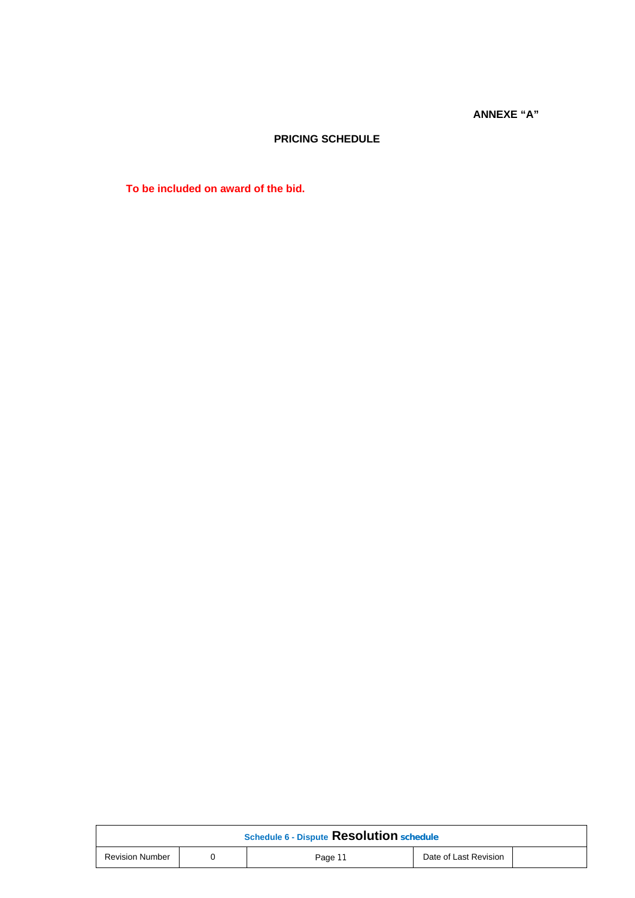**ANNEXE "A"** 

### **PRICING SCHEDULE**

**To be included on award of the bid.** 

| Schedule 6 - Dispute Resolution schedule |  |         |                       |  |
|------------------------------------------|--|---------|-----------------------|--|
| <b>Revision Number</b>                   |  | Page 11 | Date of Last Revision |  |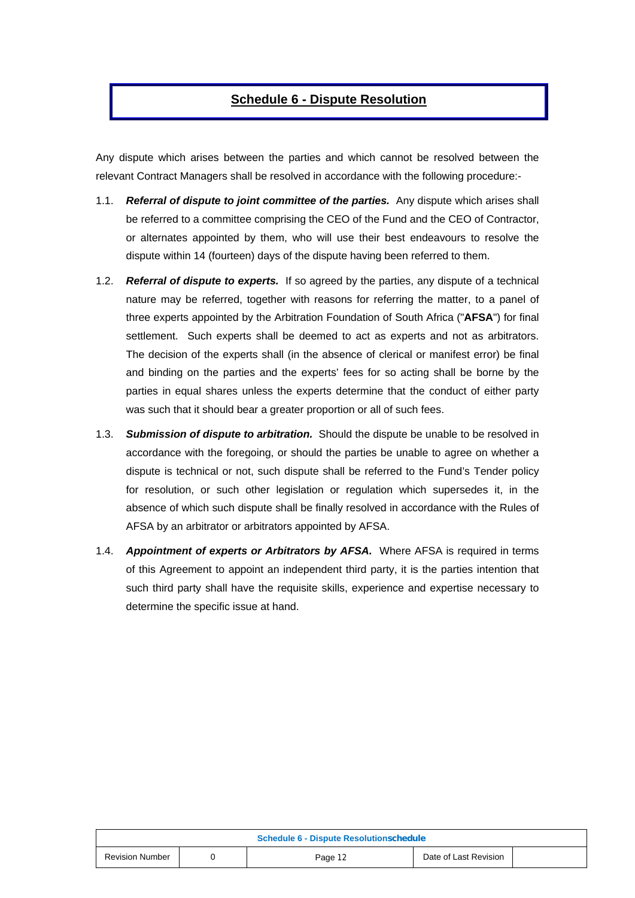## **Schedule 6 - Dispute Resolution**

Any dispute which arises between the parties and which cannot be resolved between the relevant Contract Managers shall be resolved in accordance with the following procedure:-

- 1.1. *Referral of dispute to joint committee of the parties.* Any dispute which arises shall be referred to a committee comprising the CEO of the Fund and the CEO of Contractor, or alternates appointed by them, who will use their best endeavours to resolve the dispute within 14 (fourteen) days of the dispute having been referred to them.
- 1.2. *Referral of dispute to experts.* If so agreed by the parties, any dispute of a technical nature may be referred, together with reasons for referring the matter, to a panel of three experts appointed by the Arbitration Foundation of South Africa ("**AFSA**") for final settlement. Such experts shall be deemed to act as experts and not as arbitrators. The decision of the experts shall (in the absence of clerical or manifest error) be final and binding on the parties and the experts' fees for so acting shall be borne by the parties in equal shares unless the experts determine that the conduct of either party was such that it should bear a greater proportion or all of such fees.
- 1.3. *Submission of dispute to arbitration.* Should the dispute be unable to be resolved in accordance with the foregoing, or should the parties be unable to agree on whether a dispute is technical or not, such dispute shall be referred to the Fund's Tender policy for resolution, or such other legislation or regulation which supersedes it, in the absence of which such dispute shall be finally resolved in accordance with the Rules of AFSA by an arbitrator or arbitrators appointed by AFSA.
- 1.4. *Appointment of experts or Arbitrators by AFSA.* Where AFSA is required in terms of this Agreement to appoint an independent third party, it is the parties intention that such third party shall have the requisite skills, experience and expertise necessary to determine the specific issue at hand.

| <b>Schedule 6 - Dispute Resolutionschedule</b> |  |         |                       |  |
|------------------------------------------------|--|---------|-----------------------|--|
| <b>Revision Number</b>                         |  | Page 12 | Date of Last Revision |  |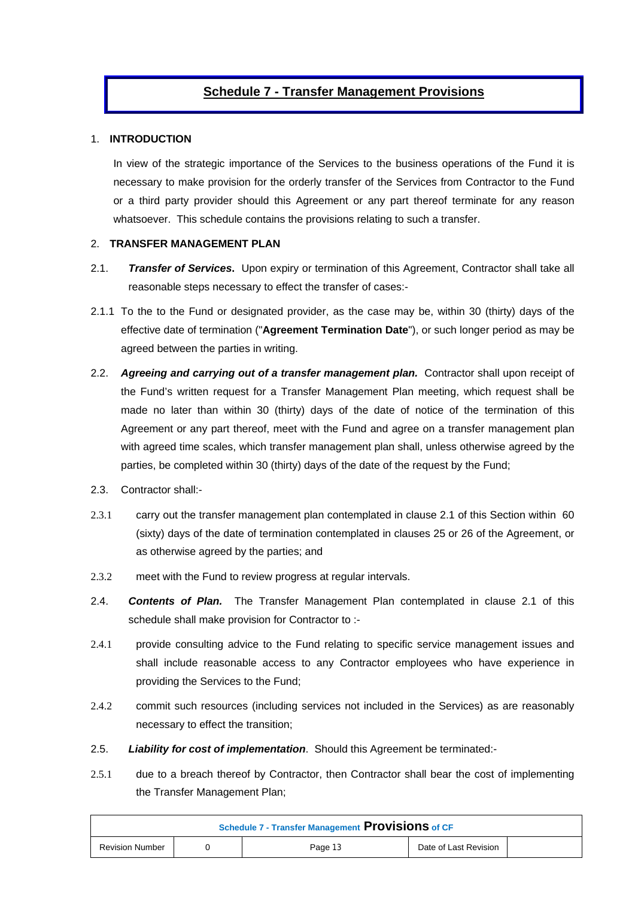## **Schedule 7 - Transfer Management Provisions**

#### 1. **INTRODUCTION**

In view of the strategic importance of the Services to the business operations of the Fund it is necessary to make provision for the orderly transfer of the Services from Contractor to the Fund or a third party provider should this Agreement or any part thereof terminate for any reason whatsoever. This schedule contains the provisions relating to such a transfer.

#### 2. **TRANSFER MANAGEMENT PLAN**

- 2.1. *Transfer of Services***.** Upon expiry or termination of this Agreement, Contractor shall take all reasonable steps necessary to effect the transfer of cases:-
- 2.1.1 To the to the Fund or designated provider, as the case may be, within 30 (thirty) days of the effective date of termination ("**Agreement Termination Date**"), or such longer period as may be agreed between the parties in writing.
- 2.2. *Agreeing and carrying out of a transfer management plan.* Contractor shall upon receipt of the Fund's written request for a Transfer Management Plan meeting, which request shall be made no later than within 30 (thirty) days of the date of notice of the termination of this Agreement or any part thereof, meet with the Fund and agree on a transfer management plan with agreed time scales, which transfer management plan shall, unless otherwise agreed by the parties, be completed within 30 (thirty) days of the date of the request by the Fund;
- 2.3. Contractor shall:-
- 2.3.1 carry out the transfer management plan contemplated in clause 2.1 of this Section within 60 (sixty) days of the date of termination contemplated in clauses 25 or 26 of the Agreement, or as otherwise agreed by the parties; and
- 2.3.2 meet with the Fund to review progress at regular intervals.
- 2.4. *Contents of Plan.* The Transfer Management Plan contemplated in clause 2.1 of this schedule shall make provision for Contractor to :-
- 2.4.1 provide consulting advice to the Fund relating to specific service management issues and shall include reasonable access to any Contractor employees who have experience in providing the Services to the Fund;
- 2.4.2 commit such resources (including services not included in the Services) as are reasonably necessary to effect the transition;
- 2.5. *Liability for cost of implementation*. Should this Agreement be terminated:-
- 2.5.1 due to a breach thereof by Contractor, then Contractor shall bear the cost of implementing the Transfer Management Plan;

| <b>Schedule 7 - Transfer Management Provisions of CF</b> |  |         |                       |  |  |  |  |
|----------------------------------------------------------|--|---------|-----------------------|--|--|--|--|
| <b>Revision Number</b>                                   |  | Page 13 | Date of Last Revision |  |  |  |  |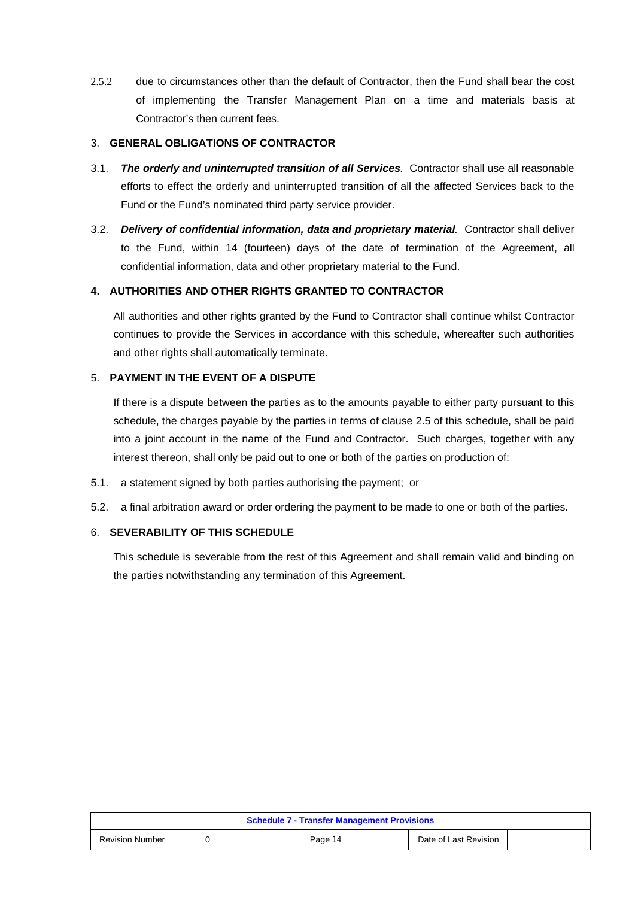2.5.2 due to circumstances other than the default of Contractor, then the Fund shall bear the cost of implementing the Transfer Management Plan on a time and materials basis at Contractor's then current fees.

#### 3. **GENERAL OBLIGATIONS OF CONTRACTOR**

- 3.1. *The orderly and uninterrupted transition of all Services.* Contractor shall use all reasonable efforts to effect the orderly and uninterrupted transition of all the affected Services back to the Fund or the Fund's nominated third party service provider.
- 3.2. *Delivery of confidential information, data and proprietary material.* Contractor shall deliver to the Fund, within 14 (fourteen) days of the date of termination of the Agreement, all confidential information, data and other proprietary material to the Fund.

#### **4. AUTHORITIES AND OTHER RIGHTS GRANTED TO CONTRACTOR**

All authorities and other rights granted by the Fund to Contractor shall continue whilst Contractor continues to provide the Services in accordance with this schedule, whereafter such authorities and other rights shall automatically terminate.

#### 5. **PAYMENT IN THE EVENT OF A DISPUTE**

If there is a dispute between the parties as to the amounts payable to either party pursuant to this schedule, the charges payable by the parties in terms of clause 2.5 of this schedule, shall be paid into a joint account in the name of the Fund and Contractor. Such charges, together with any interest thereon, shall only be paid out to one or both of the parties on production of:

- 5.1. a statement signed by both parties authorising the payment; or
- 5.2. a final arbitration award or order ordering the payment to be made to one or both of the parties.

#### 6. **SEVERABILITY OF THIS SCHEDULE**

This schedule is severable from the rest of this Agreement and shall remain valid and binding on the parties notwithstanding any termination of this Agreement.

| <b>Schedule 7 - Transfer Management Provisions</b> |  |         |                       |  |  |  |  |
|----------------------------------------------------|--|---------|-----------------------|--|--|--|--|
| <b>Revision Number</b>                             |  | Page 14 | Date of Last Revision |  |  |  |  |